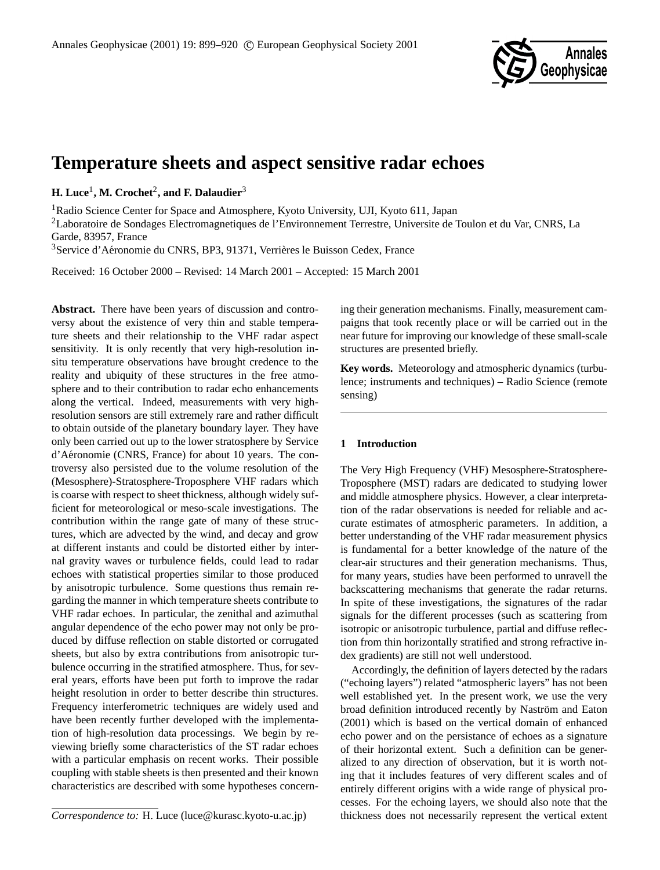

# **Temperature sheets and aspect sensitive radar echoes**

**H.** Luce<sup>1</sup>, M. Crochet<sup>2</sup>, and F. Dalaudier<sup>3</sup>

<sup>1</sup>Radio Science Center for Space and Atmosphere, Kyoto University, UJI, Kyoto 611, Japan

<sup>2</sup>Laboratoire de Sondages Electromagnetiques de l'Environnement Terrestre, Universite de Toulon et du Var, CNRS, La Garde, 83957, France

<sup>3</sup>Service d'Aéronomie du CNRS, BP3, 91371, Verrières le Buisson Cedex, France

Received: 16 October 2000 – Revised: 14 March 2001 – Accepted: 15 March 2001

**Abstract.** There have been years of discussion and controversy about the existence of very thin and stable temperature sheets and their relationship to the VHF radar aspect sensitivity. It is only recently that very high-resolution insitu temperature observations have brought credence to the reality and ubiquity of these structures in the free atmosphere and to their contribution to radar echo enhancements along the vertical. Indeed, measurements with very highresolution sensors are still extremely rare and rather difficult to obtain outside of the planetary boundary layer. They have only been carried out up to the lower stratosphere by Service d'Aéronomie (CNRS, France) for about 10 years. The controversy also persisted due to the volume resolution of the (Mesosphere)-Stratosphere-Troposphere VHF radars which is coarse with respect to sheet thickness, although widely sufficient for meteorological or meso-scale investigations. The contribution within the range gate of many of these structures, which are advected by the wind, and decay and grow at different instants and could be distorted either by internal gravity waves or turbulence fields, could lead to radar echoes with statistical properties similar to those produced by anisotropic turbulence. Some questions thus remain regarding the manner in which temperature sheets contribute to VHF radar echoes. In particular, the zenithal and azimuthal angular dependence of the echo power may not only be produced by diffuse reflection on stable distorted or corrugated sheets, but also by extra contributions from anisotropic turbulence occurring in the stratified atmosphere. Thus, for several years, efforts have been put forth to improve the radar height resolution in order to better describe thin structures. Frequency interferometric techniques are widely used and have been recently further developed with the implementation of high-resolution data processings. We begin by reviewing briefly some characteristics of the ST radar echoes with a particular emphasis on recent works. Their possible coupling with stable sheets is then presented and their known characteristics are described with some hypotheses concern-

*Correspondence to:* H. Luce (luce@kurasc.kyoto-u.ac.jp)

ing their generation mechanisms. Finally, measurement campaigns that took recently place or will be carried out in the near future for improving our knowledge of these small-scale structures are presented briefly.

**Key words.** Meteorology and atmospheric dynamics (turbulence; instruments and techniques) – Radio Science (remote sensing)

# **1 Introduction**

The Very High Frequency (VHF) Mesosphere-Stratosphere-Troposphere (MST) radars are dedicated to studying lower and middle atmosphere physics. However, a clear interpretation of the radar observations is needed for reliable and accurate estimates of atmospheric parameters. In addition, a better understanding of the VHF radar measurement physics is fundamental for a better knowledge of the nature of the clear-air structures and their generation mechanisms. Thus, for many years, studies have been performed to unravell the backscattering mechanisms that generate the radar returns. In spite of these investigations, the signatures of the radar signals for the different processes (such as scattering from isotropic or anisotropic turbulence, partial and diffuse reflection from thin horizontally stratified and strong refractive index gradients) are still not well understood.

Accordingly, the definition of layers detected by the radars ("echoing layers") related "atmospheric layers" has not been well established yet. In the present work, we use the very broad definition introduced recently by Naström and Eaton (2001) which is based on the vertical domain of enhanced echo power and on the persistance of echoes as a signature of their horizontal extent. Such a definition can be generalized to any direction of observation, but it is worth noting that it includes features of very different scales and of entirely different origins with a wide range of physical processes. For the echoing layers, we should also note that the thickness does not necessarily represent the vertical extent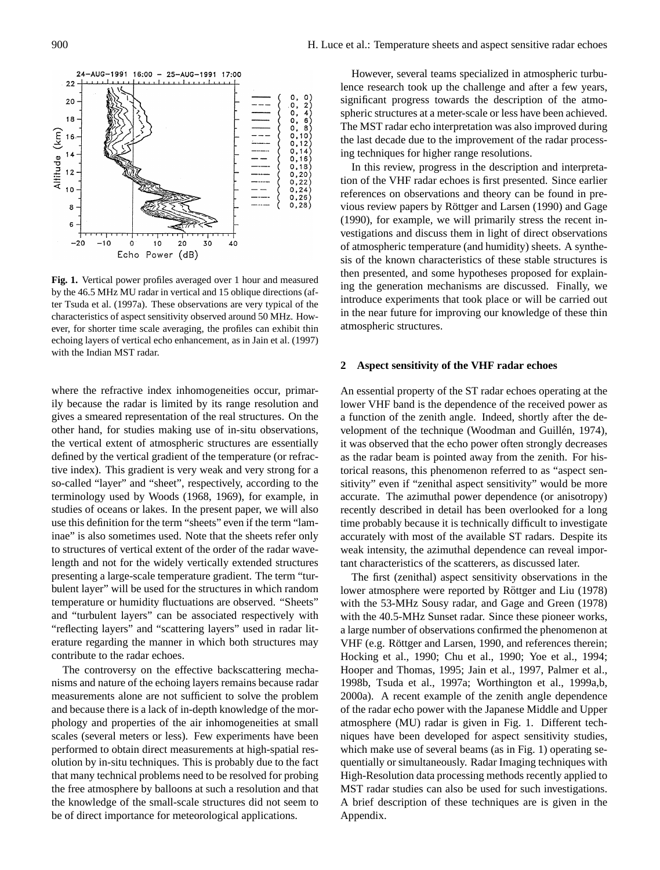

**Fig. 1.** Vertical power profiles averaged over 1 hour and measured by the 46.5 MHz MU radar in vertical and 15 oblique directions (after Tsuda et al. (1997a). These observations are very typical of the characteristics of aspect sensitivity observed around 50 MHz. However, for shorter time scale averaging, the profiles can exhibit thin echoing layers of vertical echo enhancement, as in Jain et al. (1997) with the Indian MST radar.

where the refractive index inhomogeneities occur, primarily because the radar is limited by its range resolution and gives a smeared representation of the real structures. On the other hand, for studies making use of in-situ observations, the vertical extent of atmospheric structures are essentially defined by the vertical gradient of the temperature (or refractive index). This gradient is very weak and very strong for a so-called "layer" and "sheet", respectively, according to the terminology used by Woods (1968, 1969), for example, in studies of oceans or lakes. In the present paper, we will also use this definition for the term "sheets" even if the term "laminae" is also sometimes used. Note that the sheets refer only to structures of vertical extent of the order of the radar wavelength and not for the widely vertically extended structures presenting a large-scale temperature gradient. The term "turbulent layer" will be used for the structures in which random temperature or humidity fluctuations are observed. "Sheets" and "turbulent layers" can be associated respectively with "reflecting layers" and "scattering layers" used in radar literature regarding the manner in which both structures may contribute to the radar echoes.

The controversy on the effective backscattering mechanisms and nature of the echoing layers remains because radar measurements alone are not sufficient to solve the problem and because there is a lack of in-depth knowledge of the morphology and properties of the air inhomogeneities at small scales (several meters or less). Few experiments have been performed to obtain direct measurements at high-spatial resolution by in-situ techniques. This is probably due to the fact that many technical problems need to be resolved for probing the free atmosphere by balloons at such a resolution and that the knowledge of the small-scale structures did not seem to be of direct importance for meteorological applications.

However, several teams specialized in atmospheric turbulence research took up the challenge and after a few years, significant progress towards the description of the atmospheric structures at a meter-scale or less have been achieved. The MST radar echo interpretation was also improved during the last decade due to the improvement of the radar processing techniques for higher range resolutions.

In this review, progress in the description and interpretation of the VHF radar echoes is first presented. Since earlier references on observations and theory can be found in previous review papers by Röttger and Larsen (1990) and Gage (1990), for example, we will primarily stress the recent investigations and discuss them in light of direct observations of atmospheric temperature (and humidity) sheets. A synthesis of the known characteristics of these stable structures is then presented, and some hypotheses proposed for explaining the generation mechanisms are discussed. Finally, we introduce experiments that took place or will be carried out in the near future for improving our knowledge of these thin atmospheric structures.

### **2 Aspect sensitivity of the VHF radar echoes**

An essential property of the ST radar echoes operating at the lower VHF band is the dependence of the received power as a function of the zenith angle. Indeed, shortly after the development of the technique (Woodman and Guillén, 1974), it was observed that the echo power often strongly decreases as the radar beam is pointed away from the zenith. For historical reasons, this phenomenon referred to as "aspect sensitivity" even if "zenithal aspect sensitivity" would be more accurate. The azimuthal power dependence (or anisotropy) recently described in detail has been overlooked for a long time probably because it is technically difficult to investigate accurately with most of the available ST radars. Despite its weak intensity, the azimuthal dependence can reveal important characteristics of the scatterers, as discussed later.

The first (zenithal) aspect sensitivity observations in the lower atmosphere were reported by Röttger and Liu (1978) with the 53-MHz Sousy radar, and Gage and Green (1978) with the 40.5-MHz Sunset radar. Since these pioneer works, a large number of observations confirmed the phenomenon at VHF (e.g. Röttger and Larsen, 1990, and references therein; Hocking et al., 1990; Chu et al., 1990; Yoe et al., 1994; Hooper and Thomas, 1995; Jain et al., 1997, Palmer et al., 1998b, Tsuda et al., 1997a; Worthington et al., 1999a,b, 2000a). A recent example of the zenith angle dependence of the radar echo power with the Japanese Middle and Upper atmosphere (MU) radar is given in Fig. 1. Different techniques have been developed for aspect sensitivity studies, which make use of several beams (as in Fig. 1) operating sequentially or simultaneously. Radar Imaging techniques with High-Resolution data processing methods recently applied to MST radar studies can also be used for such investigations. A brief description of these techniques are is given in the Appendix.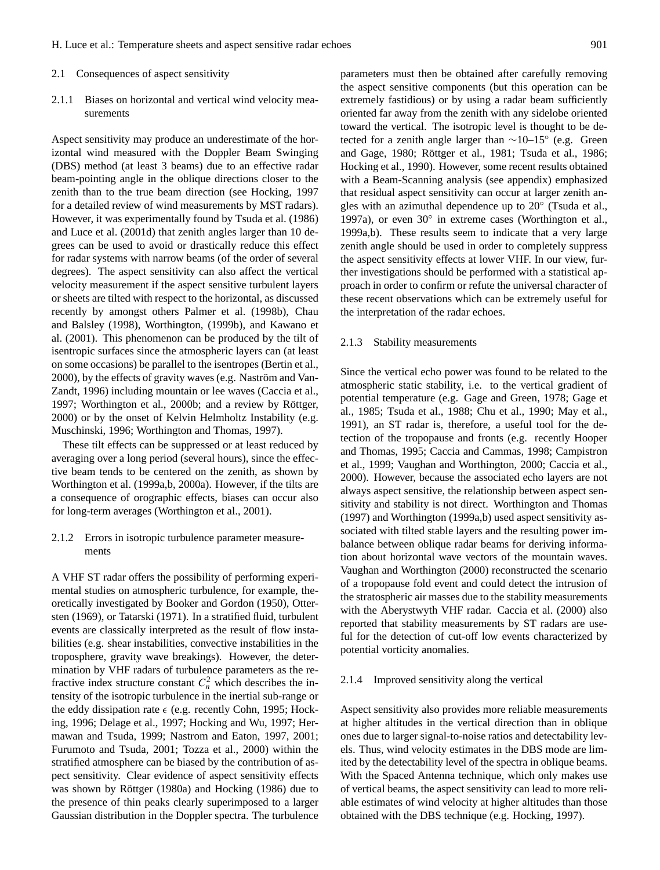#### 2.1 Consequences of aspect sensitivity

2.1.1 Biases on horizontal and vertical wind velocity measurements

Aspect sensitivity may produce an underestimate of the horizontal wind measured with the Doppler Beam Swinging (DBS) method (at least 3 beams) due to an effective radar beam-pointing angle in the oblique directions closer to the zenith than to the true beam direction (see Hocking, 1997 for a detailed review of wind measurements by MST radars). However, it was experimentally found by Tsuda et al. (1986) and Luce et al. (2001d) that zenith angles larger than 10 degrees can be used to avoid or drastically reduce this effect for radar systems with narrow beams (of the order of several degrees). The aspect sensitivity can also affect the vertical velocity measurement if the aspect sensitive turbulent layers or sheets are tilted with respect to the horizontal, as discussed recently by amongst others Palmer et al. (1998b), Chau and Balsley (1998), Worthington, (1999b), and Kawano et al. (2001). This phenomenon can be produced by the tilt of isentropic surfaces since the atmospheric layers can (at least on some occasions) be parallel to the isentropes (Bertin et al., 2000), by the effects of gravity waves (e.g. Naström and Van-Zandt, 1996) including mountain or lee waves (Caccia et al., 1997; Worthington et al., 2000b; and a review by Röttger, 2000) or by the onset of Kelvin Helmholtz Instability (e.g. Muschinski, 1996; Worthington and Thomas, 1997).

These tilt effects can be suppressed or at least reduced by averaging over a long period (several hours), since the effective beam tends to be centered on the zenith, as shown by Worthington et al. (1999a,b, 2000a). However, if the tilts are a consequence of orographic effects, biases can occur also for long-term averages (Worthington et al., 2001).

# 2.1.2 Errors in isotropic turbulence parameter measurements

A VHF ST radar offers the possibility of performing experimental studies on atmospheric turbulence, for example, theoretically investigated by Booker and Gordon (1950), Ottersten (1969), or Tatarski (1971). In a stratified fluid, turbulent events are classically interpreted as the result of flow instabilities (e.g. shear instabilities, convective instabilities in the troposphere, gravity wave breakings). However, the determination by VHF radars of turbulence parameters as the refractive index structure constant  $C_n^2$  which describes the intensity of the isotropic turbulence in the inertial sub-range or the eddy dissipation rate  $\epsilon$  (e.g. recently Cohn, 1995; Hocking, 1996; Delage et al., 1997; Hocking and Wu, 1997; Hermawan and Tsuda, 1999; Nastrom and Eaton, 1997, 2001; Furumoto and Tsuda, 2001; Tozza et al., 2000) within the stratified atmosphere can be biased by the contribution of aspect sensitivity. Clear evidence of aspect sensitivity effects was shown by Röttger (1980a) and Hocking (1986) due to the presence of thin peaks clearly superimposed to a larger Gaussian distribution in the Doppler spectra. The turbulence parameters must then be obtained after carefully removing the aspect sensitive components (but this operation can be extremely fastidious) or by using a radar beam sufficiently oriented far away from the zenith with any sidelobe oriented toward the vertical. The isotropic level is thought to be detected for a zenith angle larger than ∼10–15◦ (e.g. Green and Gage, 1980; Röttger et al., 1981; Tsuda et al., 1986; Hocking et al., 1990). However, some recent results obtained with a Beam-Scanning analysis (see appendix) emphasized that residual aspect sensitivity can occur at larger zenith angles with an azimuthal dependence up to 20◦ (Tsuda et al., 1997a), or even 30° in extreme cases (Worthington et al., 1999a,b). These results seem to indicate that a very large zenith angle should be used in order to completely suppress the aspect sensitivity effects at lower VHF. In our view, further investigations should be performed with a statistical approach in order to confirm or refute the universal character of these recent observations which can be extremely useful for the interpretation of the radar echoes.

### 2.1.3 Stability measurements

Since the vertical echo power was found to be related to the atmospheric static stability, i.e. to the vertical gradient of potential temperature (e.g. Gage and Green, 1978; Gage et al., 1985; Tsuda et al., 1988; Chu et al., 1990; May et al., 1991), an ST radar is, therefore, a useful tool for the detection of the tropopause and fronts (e.g. recently Hooper and Thomas, 1995; Caccia and Cammas, 1998; Campistron et al., 1999; Vaughan and Worthington, 2000; Caccia et al., 2000). However, because the associated echo layers are not always aspect sensitive, the relationship between aspect sensitivity and stability is not direct. Worthington and Thomas (1997) and Worthington (1999a,b) used aspect sensitivity associated with tilted stable layers and the resulting power imbalance between oblique radar beams for deriving information about horizontal wave vectors of the mountain waves. Vaughan and Worthington (2000) reconstructed the scenario of a tropopause fold event and could detect the intrusion of the stratospheric air masses due to the stability measurements with the Aberystwyth VHF radar. Caccia et al. (2000) also reported that stability measurements by ST radars are useful for the detection of cut-off low events characterized by potential vorticity anomalies.

#### 2.1.4 Improved sensitivity along the vertical

Aspect sensitivity also provides more reliable measurements at higher altitudes in the vertical direction than in oblique ones due to larger signal-to-noise ratios and detectability levels. Thus, wind velocity estimates in the DBS mode are limited by the detectability level of the spectra in oblique beams. With the Spaced Antenna technique, which only makes use of vertical beams, the aspect sensitivity can lead to more reliable estimates of wind velocity at higher altitudes than those obtained with the DBS technique (e.g. Hocking, 1997).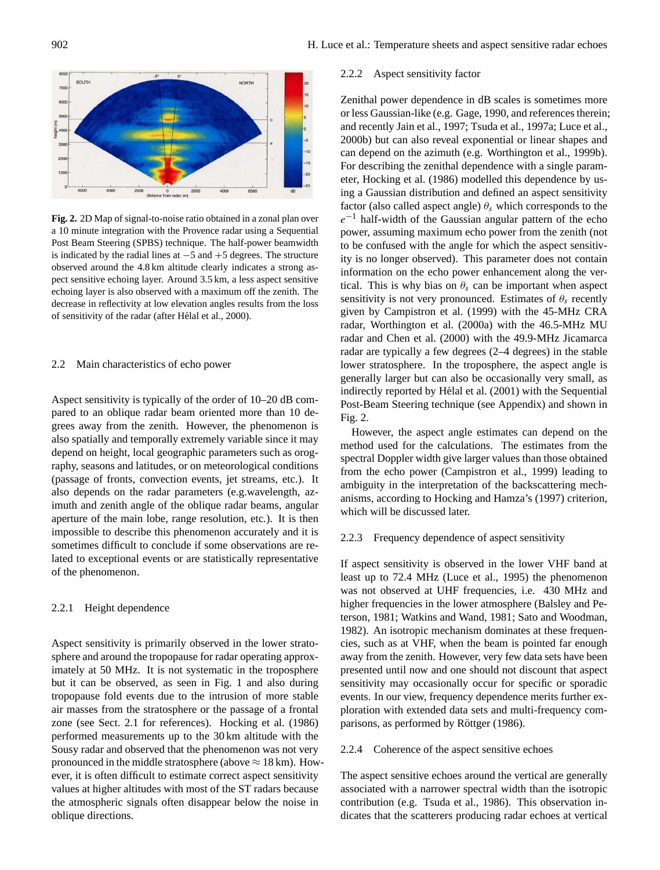

**Fig. 2.** 2D Map of signal-to-noise ratio obtained in a zonal plan over a 10 minute integration with the Provence radar using a Sequential Post Beam Steering (SPBS) technique. The half-power beamwidth is indicated by the radial lines at −5 and +5 degrees. The structure observed around the 4.8 km altitude clearly indicates a strong aspect sensitive echoing layer. Around 3.5 km, a less aspect sensitive echoing layer is also observed with a maximum off the zenith. The decrease in reflectivity at low elevation angles results from the loss of sensitivity of the radar (after Hélal et al., 2000).

# 2.2 Main characteristics of echo power

Aspect sensitivity is typically of the order of 10–20 dB compared to an oblique radar beam oriented more than 10 degrees away from the zenith. However, the phenomenon is also spatially and temporally extremely variable since it may depend on height, local geographic parameters such as orography, seasons and latitudes, or on meteorological conditions (passage of fronts, convection events, jet streams, etc.). It also depends on the radar parameters (e.g.wavelength, azimuth and zenith angle of the oblique radar beams, angular aperture of the main lobe, range resolution, etc.). It is then impossible to describe this phenomenon accurately and it is sometimes difficult to conclude if some observations are related to exceptional events or are statistically representative of the phenomenon.

### 2.2.1 Height dependence

Aspect sensitivity is primarily observed in the lower stratosphere and around the tropopause for radar operating approximately at 50 MHz. It is not systematic in the troposphere but it can be observed, as seen in Fig. 1 and also during tropopause fold events due to the intrusion of more stable air masses from the stratosphere or the passage of a frontal zone (see Sect. 2.1 for references). Hocking et al. (1986) performed measurements up to the 30 km altitude with the Sousy radar and observed that the phenomenon was not very pronounced in the middle stratosphere (above  $\approx$  18 km). However, it is often difficult to estimate correct aspect sensitivity values at higher altitudes with most of the ST radars because the atmospheric signals often disappear below the noise in oblique directions.

### 2.2.2 Aspect sensitivity factor

Zenithal power dependence in dB scales is sometimes more or less Gaussian-like (e.g. Gage, 1990, and references therein; and recently Jain et al., 1997; Tsuda et al., 1997a; Luce et al., 2000b) but can also reveal exponential or linear shapes and can depend on the azimuth (e.g. Worthington et al., 1999b). For describing the zenithal dependence with a single parameter, Hocking et al. (1986) modelled this dependence by using a Gaussian distribution and defined an aspect sensitivity factor (also called aspect angle)  $\theta_s$  which corresponds to the  $e^{-1}$  half-width of the Gaussian angular pattern of the echo power, assuming maximum echo power from the zenith (not to be confused with the angle for which the aspect sensitivity is no longer observed). This parameter does not contain information on the echo power enhancement along the vertical. This is why bias on  $\theta_s$  can be important when aspect sensitivity is not very pronounced. Estimates of  $\theta_s$  recently given by Campistron et al. (1999) with the 45-MHz CRA radar, Worthington et al. (2000a) with the 46.5-MHz MU radar and Chen et al. (2000) with the 49.9-MHz Jicamarca radar are typically a few degrees (2–4 degrees) in the stable lower stratosphere. In the troposphere, the aspect angle is generally larger but can also be occasionally very small, as indirectly reported by Hélal et al. (2001) with the Sequential Post-Beam Steering technique (see Appendix) and shown in Fig. 2.

However, the aspect angle estimates can depend on the method used for the calculations. The estimates from the spectral Doppler width give larger values than those obtained from the echo power (Campistron et al., 1999) leading to ambiguity in the interpretation of the backscattering mechanisms, according to Hocking and Hamza's (1997) criterion, which will be discussed later.

#### 2.2.3 Frequency dependence of aspect sensitivity

If aspect sensitivity is observed in the lower VHF band at least up to 72.4 MHz (Luce et al., 1995) the phenomenon was not observed at UHF frequencies, i.e. 430 MHz and higher frequencies in the lower atmosphere (Balsley and Peterson, 1981; Watkins and Wand, 1981; Sato and Woodman, 1982). An isotropic mechanism dominates at these frequencies, such as at VHF, when the beam is pointed far enough away from the zenith. However, very few data sets have been presented until now and one should not discount that aspect sensitivity may occasionally occur for specific or sporadic events. In our view, frequency dependence merits further exploration with extended data sets and multi-frequency comparisons, as performed by Röttger (1986).

### 2.2.4 Coherence of the aspect sensitive echoes

The aspect sensitive echoes around the vertical are generally associated with a narrower spectral width than the isotropic contribution (e.g. Tsuda et al., 1986). This observation indicates that the scatterers producing radar echoes at vertical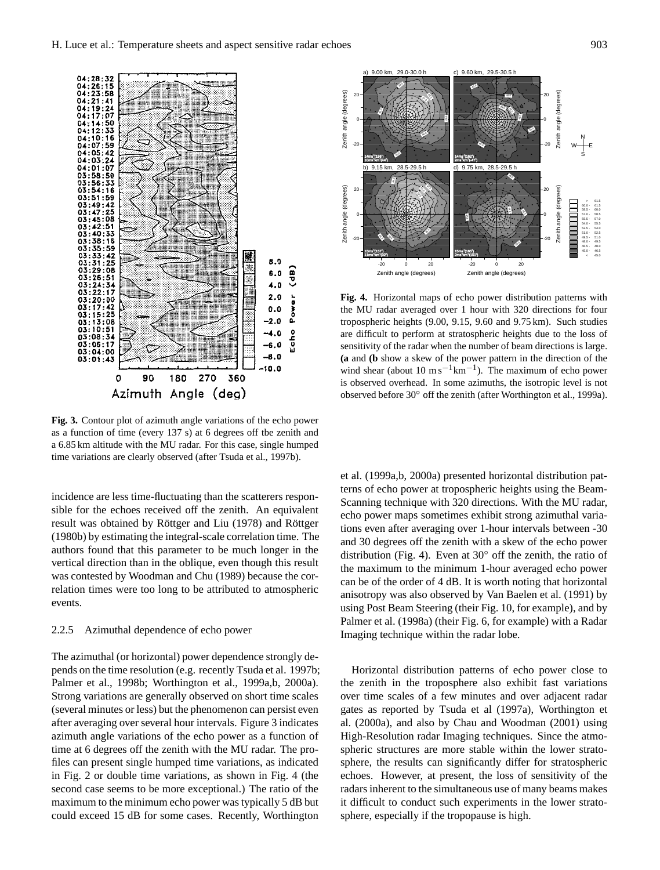

**Fig. 3.** Contour plot of azimuth angle variations of the echo power as a function of time (every 137 s) at 6 degrees off tbe zenith and a 6.85 km altitude with the MU radar. For this case, single humped time variations are clearly observed (after Tsuda et al., 1997b).

incidence are less time-fluctuating than the scatterers responsible for the echoes received off the zenith. An equivalent result was obtained by Röttger and Liu (1978) and Röttger (1980b) by estimating the integral-scale correlation time. The authors found that this parameter to be much longer in the vertical direction than in the oblique, even though this result was contested by Woodman and Chu (1989) because the correlation times were too long to be attributed to atmospheric events.

### 2.2.5 Azimuthal dependence of echo power

The azimuthal (or horizontal) power dependence strongly depends on the time resolution (e.g. recently Tsuda et al. 1997b; Palmer et al., 1998b; Worthington et al., 1999a,b, 2000a). Strong variations are generally observed on short time scales (several minutes or less) but the phenomenon can persist even after averaging over several hour intervals. Figure 3 indicates azimuth angle variations of the echo power as a function of time at 6 degrees off the zenith with the MU radar. The profiles can present single humped time variations, as indicated in Fig. 2 or double time variations, as shown in Fig. 4 (the second case seems to be more exceptional.) The ratio of the maximum to the minimum echo power was typically 5 dB but could exceed 15 dB for some cases. Recently, Worthington



**Fig. 4.** Horizontal maps of echo power distribution patterns with the MU radar averaged over 1 hour with 320 directions for four tropospheric heights (9.00, 9.15, 9.60 and 9.75 km). Such studies are difficult to perform at stratospheric heights due to the loss of sensitivity of the radar when the number of beam directions is large. **(a** and **(b** show a skew of the power pattern in the direction of the wind shear (about 10 m s<sup>-1</sup>km<sup>-1</sup>). The maximum of echo power is observed overhead. In some azimuths, the isotropic level is not observed before 30◦ off the zenith (after Worthington et al., 1999a).

et al. (1999a,b, 2000a) presented horizontal distribution patterns of echo power at tropospheric heights using the Beam-Scanning technique with 320 directions. With the MU radar, echo power maps sometimes exhibit strong azimuthal variations even after averaging over 1-hour intervals between -30 and 30 degrees off the zenith with a skew of the echo power distribution (Fig. 4). Even at  $30^\circ$  off the zenith, the ratio of the maximum to the minimum 1-hour averaged echo power can be of the order of 4 dB. It is worth noting that horizontal anisotropy was also observed by Van Baelen et al. (1991) by using Post Beam Steering (their Fig. 10, for example), and by Palmer et al. (1998a) (their Fig. 6, for example) with a Radar Imaging technique within the radar lobe.

Horizontal distribution patterns of echo power close to the zenith in the troposphere also exhibit fast variations over time scales of a few minutes and over adjacent radar gates as reported by Tsuda et al (1997a), Worthington et al. (2000a), and also by Chau and Woodman (2001) using High-Resolution radar Imaging techniques. Since the atmospheric structures are more stable within the lower stratosphere, the results can significantly differ for stratospheric echoes. However, at present, the loss of sensitivity of the radars inherent to the simultaneous use of many beams makes it difficult to conduct such experiments in the lower stratosphere, especially if the tropopause is high.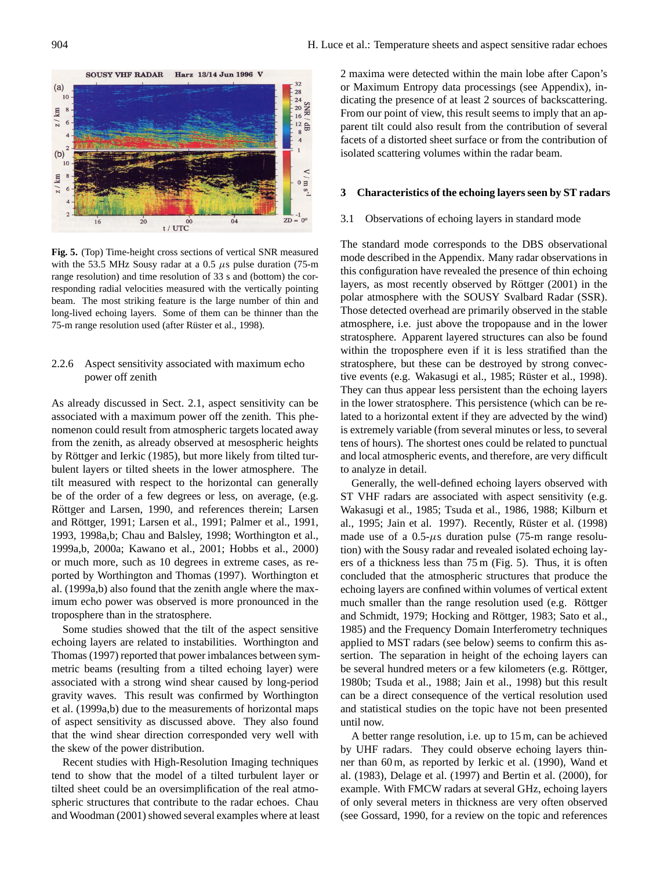

**Fig. 5.** (Top) Time-height cross sections of vertical SNR measured with the 53.5 MHz Sousy radar at a 0.5  $\mu$ s pulse duration (75-m range resolution) and time resolution of 33 s and (bottom) the corresponding radial velocities measured with the vertically pointing beam. The most striking feature is the large number of thin and long-lived echoing layers. Some of them can be thinner than the 75-m range resolution used (after Rüster et al., 1998).

# 2.2.6 Aspect sensitivity associated with maximum echo power off zenith

As already discussed in Sect. 2.1, aspect sensitivity can be associated with a maximum power off the zenith. This phenomenon could result from atmospheric targets located away from the zenith, as already observed at mesospheric heights by Röttger and Ierkic (1985), but more likely from tilted turbulent layers or tilted sheets in the lower atmosphere. The tilt measured with respect to the horizontal can generally be of the order of a few degrees or less, on average, (e.g. Röttger and Larsen, 1990, and references therein; Larsen and Röttger, 1991; Larsen et al., 1991; Palmer et al., 1991, 1993, 1998a,b; Chau and Balsley, 1998; Worthington et al., 1999a,b, 2000a; Kawano et al., 2001; Hobbs et al., 2000) or much more, such as 10 degrees in extreme cases, as reported by Worthington and Thomas (1997). Worthington et al. (1999a,b) also found that the zenith angle where the maximum echo power was observed is more pronounced in the troposphere than in the stratosphere.

Some studies showed that the tilt of the aspect sensitive echoing layers are related to instabilities. Worthington and Thomas (1997) reported that power imbalances between symmetric beams (resulting from a tilted echoing layer) were associated with a strong wind shear caused by long-period gravity waves. This result was confirmed by Worthington et al. (1999a,b) due to the measurements of horizontal maps of aspect sensitivity as discussed above. They also found that the wind shear direction corresponded very well with the skew of the power distribution.

Recent studies with High-Resolution Imaging techniques tend to show that the model of a tilted turbulent layer or tilted sheet could be an oversimplification of the real atmospheric structures that contribute to the radar echoes. Chau and Woodman (2001) showed several examples where at least 2 maxima were detected within the main lobe after Capon's or Maximum Entropy data processings (see Appendix), indicating the presence of at least 2 sources of backscattering. From our point of view, this result seems to imply that an apparent tilt could also result from the contribution of several facets of a distorted sheet surface or from the contribution of isolated scattering volumes within the radar beam.

### **3 Characteristics of the echoing layers seen by ST radars**

### 3.1 Observations of echoing layers in standard mode

The standard mode corresponds to the DBS observational mode described in the Appendix. Many radar observations in this configuration have revealed the presence of thin echoing layers, as most recently observed by Röttger (2001) in the polar atmosphere with the SOUSY Svalbard Radar (SSR). Those detected overhead are primarily observed in the stable atmosphere, i.e. just above the tropopause and in the lower stratosphere. Apparent layered structures can also be found within the troposphere even if it is less stratified than the stratosphere, but these can be destroyed by strong convective events (e.g. Wakasugi et al., 1985; Rüster et al., 1998). They can thus appear less persistent than the echoing layers in the lower stratosphere. This persistence (which can be related to a horizontal extent if they are advected by the wind) is extremely variable (from several minutes or less, to several tens of hours). The shortest ones could be related to punctual and local atmospheric events, and therefore, are very difficult to analyze in detail.

Generally, the well-defined echoing layers observed with ST VHF radars are associated with aspect sensitivity (e.g. Wakasugi et al., 1985; Tsuda et al., 1986, 1988; Kilburn et al., 1995; Jain et al. 1997). Recently, Rüster et al. (1998) made use of a  $0.5-\mu s$  duration pulse (75-m range resolution) with the Sousy radar and revealed isolated echoing layers of a thickness less than 75 m (Fig. 5). Thus, it is often concluded that the atmospheric structures that produce the echoing layers are confined within volumes of vertical extent much smaller than the range resolution used (e.g. Röttger and Schmidt, 1979; Hocking and Röttger, 1983; Sato et al., 1985) and the Frequency Domain Interferometry techniques applied to MST radars (see below) seems to confirm this assertion. The separation in height of the echoing layers can be several hundred meters or a few kilometers (e.g. Röttger, 1980b; Tsuda et al., 1988; Jain et al., 1998) but this result can be a direct consequence of the vertical resolution used and statistical studies on the topic have not been presented until now.

A better range resolution, i.e. up to 15 m, can be achieved by UHF radars. They could observe echoing layers thinner than 60 m, as reported by Ierkic et al. (1990), Wand et al. (1983), Delage et al. (1997) and Bertin et al. (2000), for example. With FMCW radars at several GHz, echoing layers of only several meters in thickness are very often observed (see Gossard, 1990, for a review on the topic and references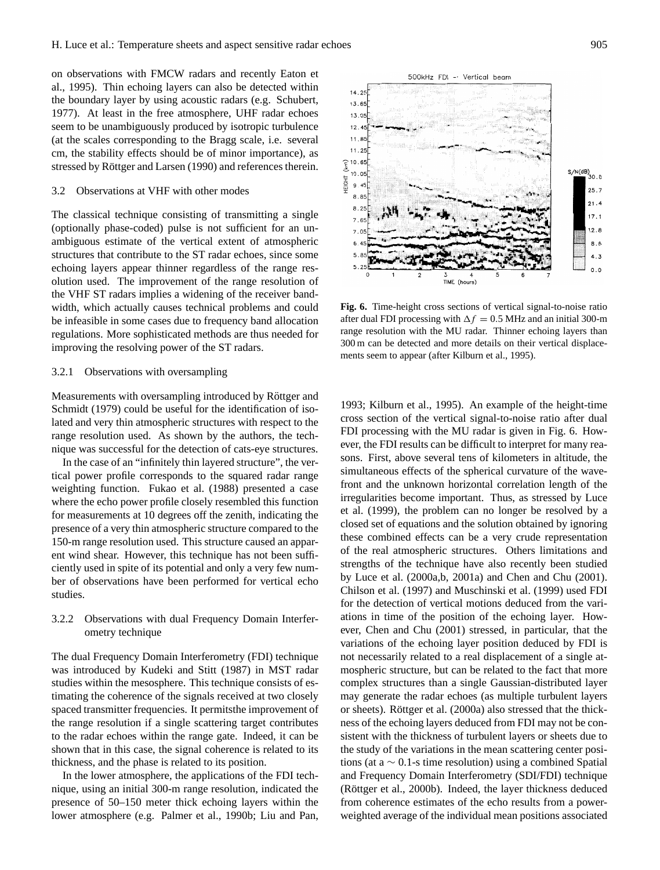on observations with FMCW radars and recently Eaton et al., 1995). Thin echoing layers can also be detected within the boundary layer by using acoustic radars (e.g. Schubert, 1977). At least in the free atmosphere, UHF radar echoes seem to be unambiguously produced by isotropic turbulence (at the scales corresponding to the Bragg scale, i.e. several cm, the stability effects should be of minor importance), as stressed by Röttger and Larsen (1990) and references therein.

#### 3.2 Observations at VHF with other modes

The classical technique consisting of transmitting a single (optionally phase-coded) pulse is not sufficient for an unambiguous estimate of the vertical extent of atmospheric structures that contribute to the ST radar echoes, since some echoing layers appear thinner regardless of the range resolution used. The improvement of the range resolution of the VHF ST radars implies a widening of the receiver bandwidth, which actually causes technical problems and could be infeasible in some cases due to frequency band allocation regulations. More sophisticated methods are thus needed for improving the resolving power of the ST radars.

#### 3.2.1 Observations with oversampling

Measurements with oversampling introduced by Röttger and Schmidt (1979) could be useful for the identification of isolated and very thin atmospheric structures with respect to the range resolution used. As shown by the authors, the technique was successful for the detection of cats-eye structures.

In the case of an "infinitely thin layered structure", the vertical power profile corresponds to the squared radar range weighting function. Fukao et al. (1988) presented a case where the echo power profile closely resembled this function for measurements at 10 degrees off the zenith, indicating the presence of a very thin atmospheric structure compared to the 150-m range resolution used. This structure caused an apparent wind shear. However, this technique has not been sufficiently used in spite of its potential and only a very few number of observations have been performed for vertical echo studies.

# 3.2.2 Observations with dual Frequency Domain Interferometry technique

The dual Frequency Domain Interferometry (FDI) technique was introduced by Kudeki and Stitt (1987) in MST radar studies within the mesosphere. This technique consists of estimating the coherence of the signals received at two closely spaced transmitter frequencies. It permitsthe improvement of the range resolution if a single scattering target contributes to the radar echoes within the range gate. Indeed, it can be shown that in this case, the signal coherence is related to its thickness, and the phase is related to its position.

In the lower atmosphere, the applications of the FDI technique, using an initial 300-m range resolution, indicated the presence of 50–150 meter thick echoing layers within the lower atmosphere (e.g. Palmer et al., 1990b; Liu and Pan,



500kHz FDI - Vertical beam

**Fig. 6.** Time-height cross sections of vertical signal-to-noise ratio after dual FDI processing with  $\Delta f = 0.5$  MHz and an initial 300-m range resolution with the MU radar. Thinner echoing layers than 300 m can be detected and more details on their vertical displacements seem to appear (after Kilburn et al., 1995).

1993; Kilburn et al., 1995). An example of the height-time cross section of the vertical signal-to-noise ratio after dual FDI processing with the MU radar is given in Fig. 6. However, the FDI results can be difficult to interpret for many reasons. First, above several tens of kilometers in altitude, the simultaneous effects of the spherical curvature of the wavefront and the unknown horizontal correlation length of the irregularities become important. Thus, as stressed by Luce et al. (1999), the problem can no longer be resolved by a closed set of equations and the solution obtained by ignoring these combined effects can be a very crude representation of the real atmospheric structures. Others limitations and strengths of the technique have also recently been studied by Luce et al. (2000a,b, 2001a) and Chen and Chu (2001). Chilson et al. (1997) and Muschinski et al. (1999) used FDI for the detection of vertical motions deduced from the variations in time of the position of the echoing layer. However, Chen and Chu (2001) stressed, in particular, that the variations of the echoing layer position deduced by FDI is not necessarily related to a real displacement of a single atmospheric structure, but can be related to the fact that more complex structures than a single Gaussian-distributed layer may generate the radar echoes (as multiple turbulent layers or sheets). Röttger et al. (2000a) also stressed that the thickness of the echoing layers deduced from FDI may not be consistent with the thickness of turbulent layers or sheets due to the study of the variations in the mean scattering center positions (at a  $\sim$  0.1-s time resolution) using a combined Spatial and Frequency Domain Interferometry (SDI/FDI) technique (Röttger et al., 2000b). Indeed, the layer thickness deduced from coherence estimates of the echo results from a powerweighted average of the individual mean positions associated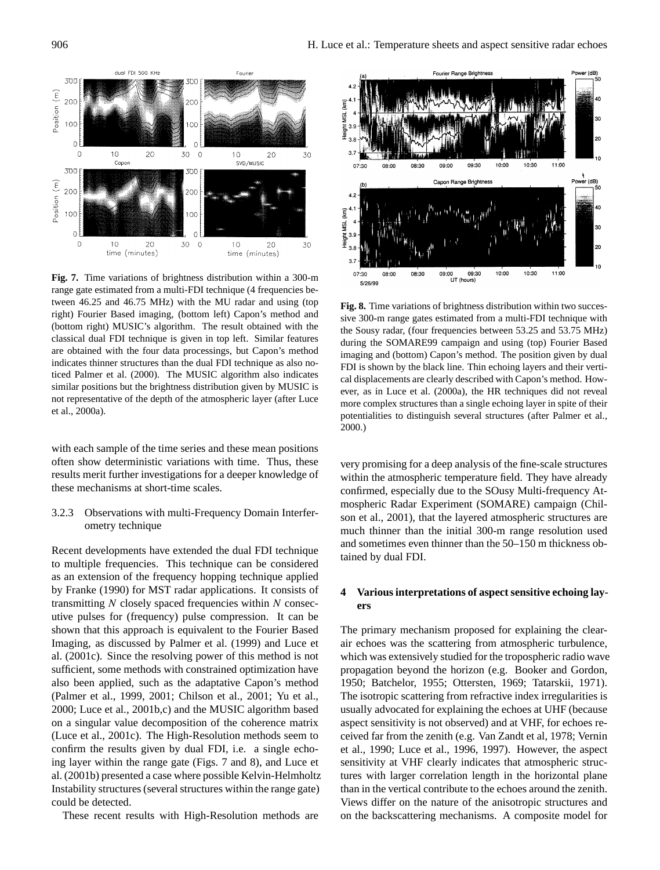

**Fig. 7.** Time variations of brightness distribution within a 300-m range gate estimated from a multi-FDI technique (4 frequencies between 46.25 and 46.75 MHz) with the MU radar and using (top right) Fourier Based imaging, (bottom left) Capon's method and (bottom right) MUSIC's algorithm. The result obtained with the classical dual FDI technique is given in top left. Similar features are obtained with the four data processings, but Capon's method indicates thinner structures than the dual FDI technique as also noticed Palmer et al. (2000). The MUSIC algorithm also indicates similar positions but the brightness distribution given by MUSIC is not representative of the depth of the atmospheric layer (after Luce et al., 2000a).

with each sample of the time series and these mean positions often show deterministic variations with time. Thus, these results merit further investigations for a deeper knowledge of these mechanisms at short-time scales.

3.2.3 Observations with multi-Frequency Domain Interferometry technique

Recent developments have extended the dual FDI technique to multiple frequencies. This technique can be considered as an extension of the frequency hopping technique applied by Franke (1990) for MST radar applications. It consists of transmitting  $N$  closely spaced frequencies within  $N$  consecutive pulses for (frequency) pulse compression. It can be shown that this approach is equivalent to the Fourier Based Imaging, as discussed by Palmer et al. (1999) and Luce et al. (2001c). Since the resolving power of this method is not sufficient, some methods with constrained optimization have also been applied, such as the adaptative Capon's method (Palmer et al., 1999, 2001; Chilson et al., 2001; Yu et al., 2000; Luce et al., 2001b,c) and the MUSIC algorithm based on a singular value decomposition of the coherence matrix (Luce et al., 2001c). The High-Resolution methods seem to confirm the results given by dual FDI, i.e. a single echoing layer within the range gate (Figs. 7 and 8), and Luce et al. (2001b) presented a case where possible Kelvin-Helmholtz Instability structures (several structures within the range gate) could be detected.

These recent results with High-Resolution methods are



**Fig. 8.** Time variations of brightness distribution within two successive 300-m range gates estimated from a multi-FDI technique with the Sousy radar, (four frequencies between 53.25 and 53.75 MHz) during the SOMARE99 campaign and using (top) Fourier Based imaging and (bottom) Capon's method. The position given by dual FDI is shown by the black line. Thin echoing layers and their vertical displacements are clearly described with Capon's method. However, as in Luce et al. (2000a), the HR techniques did not reveal more complex structures than a single echoing layer in spite of their potentialities to distinguish several structures (after Palmer et al., 2000.)

very promising for a deep analysis of the fine-scale structures within the atmospheric temperature field. They have already confirmed, especially due to the SOusy Multi-frequency Atmospheric Radar Experiment (SOMARE) campaign (Chilson et al., 2001), that the layered atmospheric structures are much thinner than the initial 300-m range resolution used and sometimes even thinner than the 50–150 m thickness obtained by dual FDI.

# **4 Various interpretations of aspect sensitive echoing layers**

The primary mechanism proposed for explaining the clearair echoes was the scattering from atmospheric turbulence, which was extensively studied for the tropospheric radio wave propagation beyond the horizon (e.g. Booker and Gordon, 1950; Batchelor, 1955; Ottersten, 1969; Tatarskii, 1971). The isotropic scattering from refractive index irregularities is usually advocated for explaining the echoes at UHF (because aspect sensitivity is not observed) and at VHF, for echoes received far from the zenith (e.g. Van Zandt et al, 1978; Vernin et al., 1990; Luce et al., 1996, 1997). However, the aspect sensitivity at VHF clearly indicates that atmospheric structures with larger correlation length in the horizontal plane than in the vertical contribute to the echoes around the zenith. Views differ on the nature of the anisotropic structures and on the backscattering mechanisms. A composite model for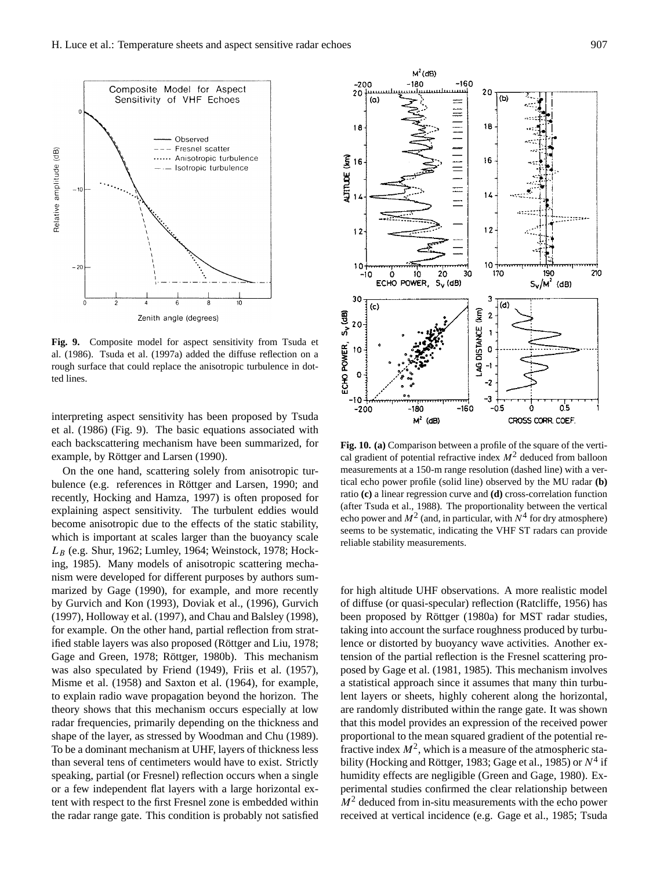

**Fig. 9.** Composite model for aspect sensitivity from Tsuda et al. (1986). Tsuda et al. (1997a) added the diffuse reflection on a rough surface that could replace the anisotropic turbulence in dotted lines.

interpreting aspect sensitivity has been proposed by Tsuda et al. (1986) (Fig. 9). The basic equations associated with each backscattering mechanism have been summarized, for example, by Röttger and Larsen (1990).

On the one hand, scattering solely from anisotropic turbulence (e.g. references in Röttger and Larsen, 1990; and recently, Hocking and Hamza, 1997) is often proposed for explaining aspect sensitivity. The turbulent eddies would become anisotropic due to the effects of the static stability, which is important at scales larger than the buoyancy scale  $L_B$  (e.g. Shur, 1962; Lumley, 1964; Weinstock, 1978; Hocking, 1985). Many models of anisotropic scattering mechanism were developed for different purposes by authors summarized by Gage (1990), for example, and more recently by Gurvich and Kon (1993), Doviak et al., (1996), Gurvich (1997), Holloway et al. (1997), and Chau and Balsley (1998), for example. On the other hand, partial reflection from stratified stable layers was also proposed (Röttger and Liu, 1978; Gage and Green, 1978; Röttger, 1980b). This mechanism was also speculated by Friend (1949), Friis et al. (1957), Misme et al. (1958) and Saxton et al. (1964), for example, to explain radio wave propagation beyond the horizon. The theory shows that this mechanism occurs especially at low radar frequencies, primarily depending on the thickness and shape of the layer, as stressed by Woodman and Chu (1989). To be a dominant mechanism at UHF, layers of thickness less than several tens of centimeters would have to exist. Strictly speaking, partial (or Fresnel) reflection occurs when a single or a few independent flat layers with a large horizontal extent with respect to the first Fresnel zone is embedded within the radar range gate. This condition is probably not satisfied



**Fig. 10. (a)** Comparison between a profile of the square of the vertical gradient of potential refractive index  $M<sup>2</sup>$  deduced from balloon measurements at a 150-m range resolution (dashed line) with a vertical echo power profile (solid line) observed by the MU radar **(b)** ratio **(c)** a linear regression curve and **(d)** cross-correlation function (after Tsuda et al., 1988). The proportionality between the vertical echo power and  $M^2$  (and, in particular, with  $N^4$  for dry atmosphere) seems to be systematic, indicating the VHF ST radars can provide reliable stability measurements.

for high altitude UHF observations. A more realistic model of diffuse (or quasi-specular) reflection (Ratcliffe, 1956) has been proposed by Röttger (1980a) for MST radar studies, taking into account the surface roughness produced by turbulence or distorted by buoyancy wave activities. Another extension of the partial reflection is the Fresnel scattering proposed by Gage et al. (1981, 1985). This mechanism involves a statistical approach since it assumes that many thin turbulent layers or sheets, highly coherent along the horizontal, are randomly distributed within the range gate. It was shown that this model provides an expression of the received power proportional to the mean squared gradient of the potential refractive index  $M^2$ , which is a measure of the atmospheric stability (Hocking and Röttger, 1983; Gage et al., 1985) or  $N^4$  if humidity effects are negligible (Green and Gage, 1980). Experimental studies confirmed the clear relationship between  $M<sup>2</sup>$  deduced from in-situ measurements with the echo power received at vertical incidence (e.g. Gage et al., 1985; Tsuda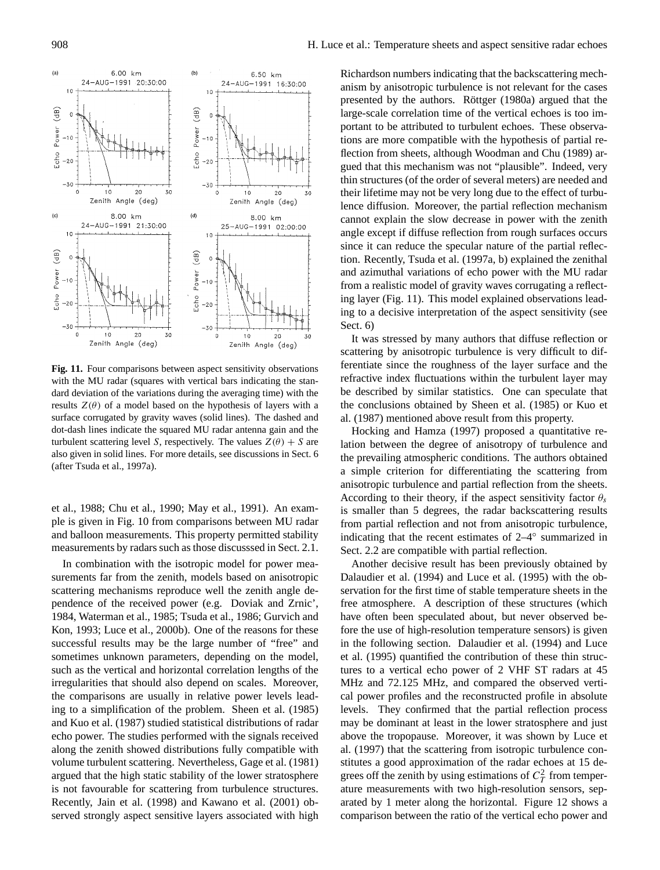

**Fig. 11.** Four comparisons between aspect sensitivity observations with the MU radar (squares with vertical bars indicating the standard deviation of the variations during the averaging time) with the results  $Z(\theta)$  of a model based on the hypothesis of layers with a surface corrugated by gravity waves (solid lines). The dashed and dot-dash lines indicate the squared MU radar antenna gain and the turbulent scattering level S, respectively. The values  $Z(\theta) + S$  are also given in solid lines. For more details, see discussions in Sect. 6 (after Tsuda et al., 1997a).

et al., 1988; Chu et al., 1990; May et al., 1991). An example is given in Fig. 10 from comparisons between MU radar and balloon measurements. This property permitted stability measurements by radars such as those discusssed in Sect. 2.1.

In combination with the isotropic model for power measurements far from the zenith, models based on anisotropic scattering mechanisms reproduce well the zenith angle dependence of the received power (e.g. Doviak and Zrnic', 1984, Waterman et al., 1985; Tsuda et al., 1986; Gurvich and Kon, 1993; Luce et al., 2000b). One of the reasons for these successful results may be the large number of "free" and sometimes unknown parameters, depending on the model, such as the vertical and horizontal correlation lengths of the irregularities that should also depend on scales. Moreover, the comparisons are usually in relative power levels leading to a simplification of the problem. Sheen et al. (1985) and Kuo et al. (1987) studied statistical distributions of radar echo power. The studies performed with the signals received along the zenith showed distributions fully compatible with volume turbulent scattering. Nevertheless, Gage et al. (1981) argued that the high static stability of the lower stratosphere is not favourable for scattering from turbulence structures. Recently, Jain et al. (1998) and Kawano et al. (2001) observed strongly aspect sensitive layers associated with high

Richardson numbers indicating that the backscattering mechanism by anisotropic turbulence is not relevant for the cases presented by the authors. Röttger (1980a) argued that the large-scale correlation time of the vertical echoes is too important to be attributed to turbulent echoes. These observations are more compatible with the hypothesis of partial reflection from sheets, although Woodman and Chu (1989) argued that this mechanism was not "plausible". Indeed, very thin structures (of the order of several meters) are needed and their lifetime may not be very long due to the effect of turbulence diffusion. Moreover, the partial reflection mechanism cannot explain the slow decrease in power with the zenith angle except if diffuse reflection from rough surfaces occurs since it can reduce the specular nature of the partial reflection. Recently, Tsuda et al. (1997a, b) explained the zenithal and azimuthal variations of echo power with the MU radar from a realistic model of gravity waves corrugating a reflecting layer (Fig. 11). This model explained observations leading to a decisive interpretation of the aspect sensitivity (see Sect. 6)

It was stressed by many authors that diffuse reflection or scattering by anisotropic turbulence is very difficult to differentiate since the roughness of the layer surface and the refractive index fluctuations within the turbulent layer may be described by similar statistics. One can speculate that the conclusions obtained by Sheen et al. (1985) or Kuo et al. (1987) mentioned above result from this property.

Hocking and Hamza (1997) proposed a quantitative relation between the degree of anisotropy of turbulence and the prevailing atmospheric conditions. The authors obtained a simple criterion for differentiating the scattering from anisotropic turbulence and partial reflection from the sheets. According to their theory, if the aspect sensitivity factor  $\theta_s$ is smaller than 5 degrees, the radar backscattering results from partial reflection and not from anisotropic turbulence, indicating that the recent estimates of 2–4◦ summarized in Sect. 2.2 are compatible with partial reflection.

Another decisive result has been previously obtained by Dalaudier et al. (1994) and Luce et al. (1995) with the observation for the first time of stable temperature sheets in the free atmosphere. A description of these structures (which have often been speculated about, but never observed before the use of high-resolution temperature sensors) is given in the following section. Dalaudier et al. (1994) and Luce et al. (1995) quantified the contribution of these thin structures to a vertical echo power of 2 VHF ST radars at 45 MHz and 72.125 MHz, and compared the observed vertical power profiles and the reconstructed profile in absolute levels. They confirmed that the partial reflection process may be dominant at least in the lower stratosphere and just above the tropopause. Moreover, it was shown by Luce et al. (1997) that the scattering from isotropic turbulence constitutes a good approximation of the radar echoes at 15 degrees off the zenith by using estimations of  $C_T^2$  from temperature measurements with two high-resolution sensors, separated by 1 meter along the horizontal. Figure 12 shows a comparison between the ratio of the vertical echo power and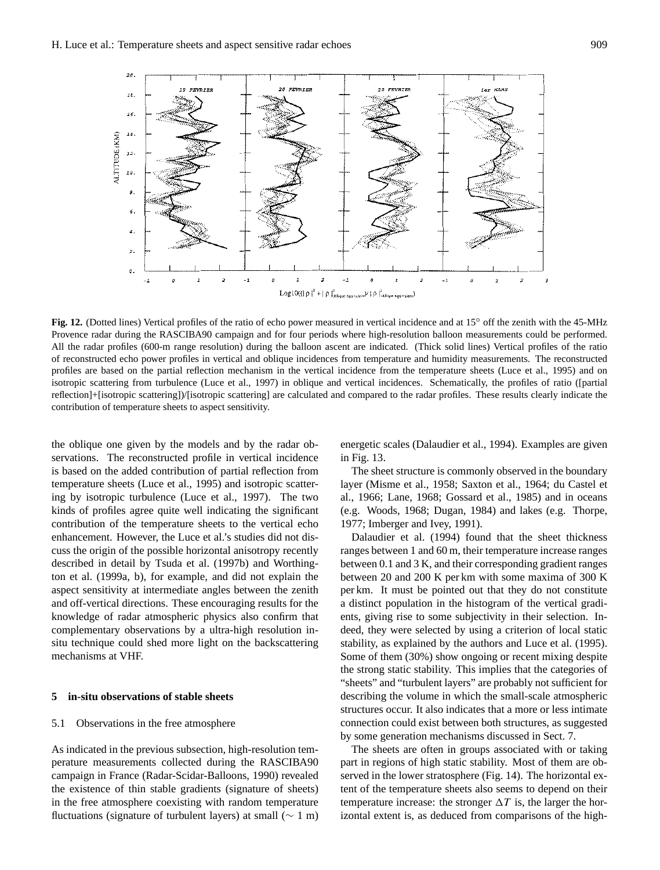

**Fig. 12.** (Dotted lines) Vertical profiles of the ratio of echo power measured in vertical incidence and at 15◦ off the zenith with the 45-MHz Provence radar during the RASCIBA90 campaign and for four periods where high-resolution balloon measurements could be performed. All the radar profiles (600-m range resolution) during the balloon ascent are indicated. (Thick solid lines) Vertical profiles of the ratio of reconstructed echo power profiles in vertical and oblique incidences from temperature and humidity measurements. The reconstructed profiles are based on the partial reflection mechanism in the vertical incidence from the temperature sheets (Luce et al., 1995) and on isotropic scattering from turbulence (Luce et al., 1997) in oblique and vertical incidences. Schematically, the profiles of ratio ([partial reflection]+[isotropic scattering])/[isotropic scattering] are calculated and compared to the radar profiles. These results clearly indicate the contribution of temperature sheets to aspect sensitivity.

the oblique one given by the models and by the radar observations. The reconstructed profile in vertical incidence is based on the added contribution of partial reflection from temperature sheets (Luce et al., 1995) and isotropic scattering by isotropic turbulence (Luce et al., 1997). The two kinds of profiles agree quite well indicating the significant contribution of the temperature sheets to the vertical echo enhancement. However, the Luce et al.'s studies did not discuss the origin of the possible horizontal anisotropy recently described in detail by Tsuda et al. (1997b) and Worthington et al. (1999a, b), for example, and did not explain the aspect sensitivity at intermediate angles between the zenith and off-vertical directions. These encouraging results for the knowledge of radar atmospheric physics also confirm that complementary observations by a ultra-high resolution insitu technique could shed more light on the backscattering mechanisms at VHF.

### **5 in-situ observations of stable sheets**

# 5.1 Observations in the free atmosphere

As indicated in the previous subsection, high-resolution temperature measurements collected during the RASCIBA90 campaign in France (Radar-Scidar-Balloons, 1990) revealed the existence of thin stable gradients (signature of sheets) in the free atmosphere coexisting with random temperature fluctuations (signature of turbulent layers) at small (∼ 1 m) energetic scales (Dalaudier et al., 1994). Examples are given in Fig. 13.

The sheet structure is commonly observed in the boundary layer (Misme et al., 1958; Saxton et al., 1964; du Castel et al., 1966; Lane, 1968; Gossard et al., 1985) and in oceans (e.g. Woods, 1968; Dugan, 1984) and lakes (e.g. Thorpe, 1977; Imberger and Ivey, 1991).

Dalaudier et al. (1994) found that the sheet thickness ranges between 1 and 60 m, their temperature increase ranges between 0.1 and 3 K, and their corresponding gradient ranges between 20 and 200 K per km with some maxima of 300 K per km. It must be pointed out that they do not constitute a distinct population in the histogram of the vertical gradients, giving rise to some subjectivity in their selection. Indeed, they were selected by using a criterion of local static stability, as explained by the authors and Luce et al. (1995). Some of them (30%) show ongoing or recent mixing despite the strong static stability. This implies that the categories of "sheets" and "turbulent layers" are probably not sufficient for describing the volume in which the small-scale atmospheric structures occur. It also indicates that a more or less intimate connection could exist between both structures, as suggested by some generation mechanisms discussed in Sect. 7.

The sheets are often in groups associated with or taking part in regions of high static stability. Most of them are observed in the lower stratosphere (Fig. 14). The horizontal extent of the temperature sheets also seems to depend on their temperature increase: the stronger  $\Delta T$  is, the larger the horizontal extent is, as deduced from comparisons of the high-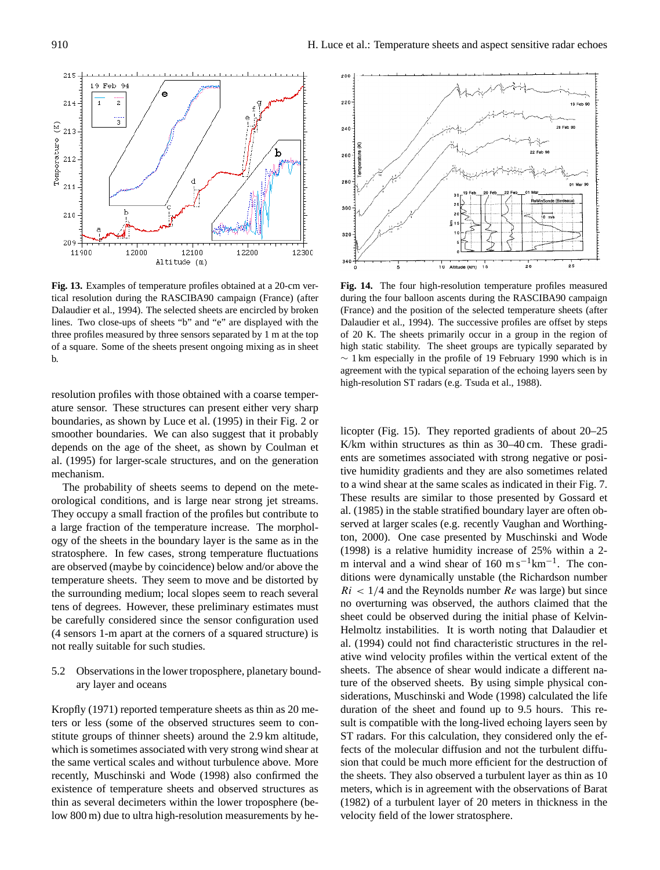**Fig. 13.** Examples of temperature profiles obtained at a 20-cm vertical resolution during the RASCIBA90 campaign (France) (after Dalaudier et al., 1994). The selected sheets are encircled by broken lines. Two close-ups of sheets "b" and "e" are displayed with the three profiles measured by three sensors separated by 1 m at the top of a square. Some of the sheets present ongoing mixing as in sheet b.

resolution profiles with those obtained with a coarse temperature sensor. These structures can present either very sharp boundaries, as shown by Luce et al. (1995) in their Fig. 2 or smoother boundaries. We can also suggest that it probably depends on the age of the sheet, as shown by Coulman et al. (1995) for larger-scale structures, and on the generation mechanism.

The probability of sheets seems to depend on the meteorological conditions, and is large near strong jet streams. They occupy a small fraction of the profiles but contribute to a large fraction of the temperature increase. The morphology of the sheets in the boundary layer is the same as in the stratosphere. In few cases, strong temperature fluctuations are observed (maybe by coincidence) below and/or above the temperature sheets. They seem to move and be distorted by the surrounding medium; local slopes seem to reach several tens of degrees. However, these preliminary estimates must be carefully considered since the sensor configuration used (4 sensors 1-m apart at the corners of a squared structure) is not really suitable for such studies.

5.2 Observations in the lower troposphere, planetary boundary layer and oceans

Kropfly (1971) reported temperature sheets as thin as 20 meters or less (some of the observed structures seem to constitute groups of thinner sheets) around the 2.9 km altitude, which is sometimes associated with very strong wind shear at the same vertical scales and without turbulence above. More recently, Muschinski and Wode (1998) also confirmed the existence of temperature sheets and observed structures as thin as several decimeters within the lower troposphere (below 800 m) due to ultra high-resolution measurements by he-

**Fig. 14.** The four high-resolution temperature profiles measured during the four balloon ascents during the RASCIBA90 campaign (France) and the position of the selected temperature sheets (after Dalaudier et al., 1994). The successive profiles are offset by steps of 20 K. The sheets primarily occur in a group in the region of high static stability. The sheet groups are typically separated by ∼ 1 km especially in the profile of 19 February 1990 which is in agreement with the typical separation of the echoing layers seen by high-resolution ST radars (e.g. Tsuda et al., 1988).

licopter (Fig. 15). They reported gradients of about 20–25 K/km within structures as thin as 30–40 cm. These gradients are sometimes associated with strong negative or positive humidity gradients and they are also sometimes related to a wind shear at the same scales as indicated in their Fig. 7. These results are similar to those presented by Gossard et al. (1985) in the stable stratified boundary layer are often observed at larger scales (e.g. recently Vaughan and Worthington, 2000). One case presented by Muschinski and Wode (1998) is a relative humidity increase of 25% within a 2 m interval and a wind shear of 160 m s<sup>-1</sup> $km^{-1}$ . The conditions were dynamically unstable (the Richardson number  $Ri < 1/4$  and the Reynolds number  $Re$  was large) but since no overturning was observed, the authors claimed that the sheet could be observed during the initial phase of Kelvin-Helmoltz instabilities. It is worth noting that Dalaudier et al. (1994) could not find characteristic structures in the relative wind velocity profiles within the vertical extent of the sheets. The absence of shear would indicate a different nature of the observed sheets. By using simple physical considerations, Muschinski and Wode (1998) calculated the life duration of the sheet and found up to 9.5 hours. This result is compatible with the long-lived echoing layers seen by ST radars. For this calculation, they considered only the effects of the molecular diffusion and not the turbulent diffusion that could be much more efficient for the destruction of the sheets. They also observed a turbulent layer as thin as 10 meters, which is in agreement with the observations of Barat (1982) of a turbulent layer of 20 meters in thickness in the velocity field of the lower stratosphere.



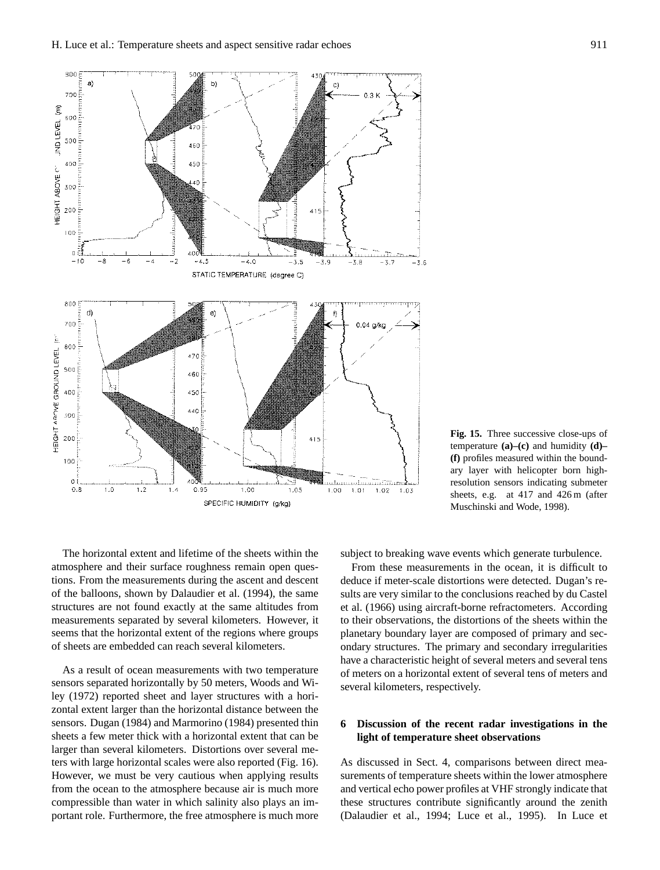

**Fig. 15.** Three successive close-ups of temperature **(a)–(c)** and humidity **(d)– (f)** profiles measured within the boundary layer with helicopter born highresolution sensors indicating submeter sheets, e.g. at 417 and 426 m (after Muschinski and Wode, 1998).

The horizontal extent and lifetime of the sheets within the atmosphere and their surface roughness remain open questions. From the measurements during the ascent and descent of the balloons, shown by Dalaudier et al. (1994), the same structures are not found exactly at the same altitudes from measurements separated by several kilometers. However, it seems that the horizontal extent of the regions where groups of sheets are embedded can reach several kilometers.

As a result of ocean measurements with two temperature sensors separated horizontally by 50 meters, Woods and Wiley (1972) reported sheet and layer structures with a horizontal extent larger than the horizontal distance between the sensors. Dugan (1984) and Marmorino (1984) presented thin sheets a few meter thick with a horizontal extent that can be larger than several kilometers. Distortions over several meters with large horizontal scales were also reported (Fig. 16). However, we must be very cautious when applying results from the ocean to the atmosphere because air is much more compressible than water in which salinity also plays an important role. Furthermore, the free atmosphere is much more subject to breaking wave events which generate turbulence.

From these measurements in the ocean, it is difficult to deduce if meter-scale distortions were detected. Dugan's results are very similar to the conclusions reached by du Castel et al. (1966) using aircraft-borne refractometers. According to their observations, the distortions of the sheets within the planetary boundary layer are composed of primary and secondary structures. The primary and secondary irregularities have a characteristic height of several meters and several tens of meters on a horizontal extent of several tens of meters and several kilometers, respectively.

# **6 Discussion of the recent radar investigations in the light of temperature sheet observations**

As discussed in Sect. 4, comparisons between direct measurements of temperature sheets within the lower atmosphere and vertical echo power profiles at VHF strongly indicate that these structures contribute significantly around the zenith (Dalaudier et al., 1994; Luce et al., 1995). In Luce et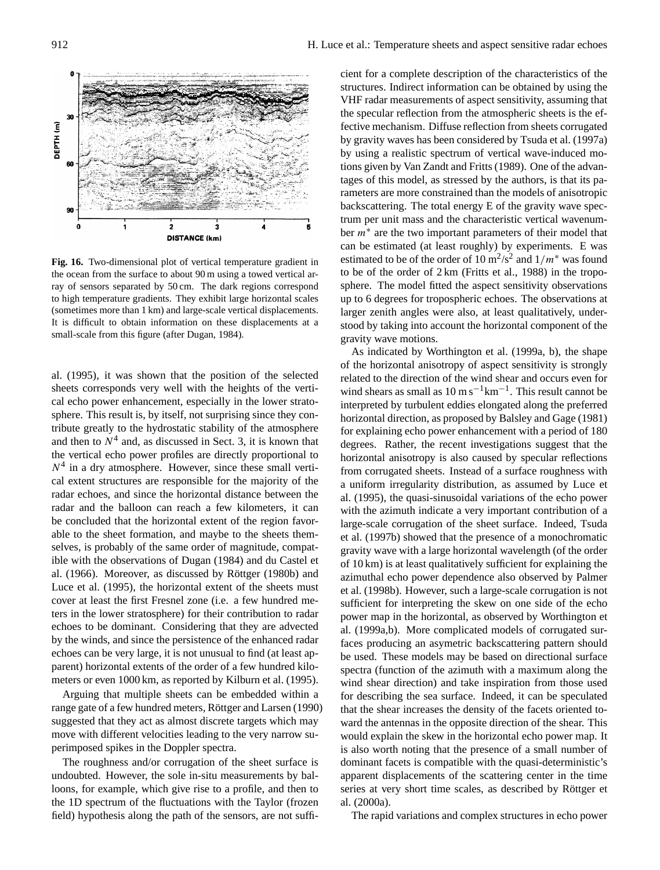

**Fig. 16.** Two-dimensional plot of vertical temperature gradient in the ocean from the surface to about 90 m using a towed vertical array of sensors separated by 50 cm. The dark regions correspond to high temperature gradients. They exhibit large horizontal scales (sometimes more than 1 km) and large-scale vertical displacements. It is difficult to obtain information on these displacements at a small-scale from this figure (after Dugan, 1984).

al. (1995), it was shown that the position of the selected sheets corresponds very well with the heights of the vertical echo power enhancement, especially in the lower stratosphere. This result is, by itself, not surprising since they contribute greatly to the hydrostatic stability of the atmosphere and then to  $N<sup>4</sup>$  and, as discussed in Sect. 3, it is known that the vertical echo power profiles are directly proportional to  $N<sup>4</sup>$  in a dry atmosphere. However, since these small vertical extent structures are responsible for the majority of the radar echoes, and since the horizontal distance between the radar and the balloon can reach a few kilometers, it can be concluded that the horizontal extent of the region favorable to the sheet formation, and maybe to the sheets themselves, is probably of the same order of magnitude, compatible with the observations of Dugan (1984) and du Castel et al. (1966). Moreover, as discussed by Röttger (1980b) and Luce et al. (1995), the horizontal extent of the sheets must cover at least the first Fresnel zone (i.e. a few hundred meters in the lower stratosphere) for their contribution to radar echoes to be dominant. Considering that they are advected by the winds, and since the persistence of the enhanced radar echoes can be very large, it is not unusual to find (at least apparent) horizontal extents of the order of a few hundred kilometers or even 1000 km, as reported by Kilburn et al. (1995).

Arguing that multiple sheets can be embedded within a range gate of a few hundred meters, Röttger and Larsen (1990) suggested that they act as almost discrete targets which may move with different velocities leading to the very narrow superimposed spikes in the Doppler spectra.

The roughness and/or corrugation of the sheet surface is undoubted. However, the sole in-situ measurements by balloons, for example, which give rise to a profile, and then to the 1D spectrum of the fluctuations with the Taylor (frozen field) hypothesis along the path of the sensors, are not sufficient for a complete description of the characteristics of the structures. Indirect information can be obtained by using the VHF radar measurements of aspect sensitivity, assuming that the specular reflection from the atmospheric sheets is the effective mechanism. Diffuse reflection from sheets corrugated by gravity waves has been considered by Tsuda et al. (1997a) by using a realistic spectrum of vertical wave-induced motions given by Van Zandt and Fritts (1989). One of the advantages of this model, as stressed by the authors, is that its parameters are more constrained than the models of anisotropic backscattering. The total energy E of the gravity wave spectrum per unit mass and the characteristic vertical wavenumber  $m^*$  are the two important parameters of their model that can be estimated (at least roughly) by experiments. E was estimated to be of the order of 10 m<sup>2</sup>/s<sup>2</sup> and  $1/m^*$  was found to be of the order of 2 km (Fritts et al., 1988) in the troposphere. The model fitted the aspect sensitivity observations up to 6 degrees for tropospheric echoes. The observations at larger zenith angles were also, at least qualitatively, understood by taking into account the horizontal component of the gravity wave motions.

As indicated by Worthington et al. (1999a, b), the shape of the horizontal anisotropy of aspect sensitivity is strongly related to the direction of the wind shear and occurs even for wind shears as small as  $10 \text{ m s}^{-1} \text{km}^{-1}$ . This result cannot be interpreted by turbulent eddies elongated along the preferred horizontal direction, as proposed by Balsley and Gage (1981) for explaining echo power enhancement with a period of 180 degrees. Rather, the recent investigations suggest that the horizontal anisotropy is also caused by specular reflections from corrugated sheets. Instead of a surface roughness with a uniform irregularity distribution, as assumed by Luce et al. (1995), the quasi-sinusoidal variations of the echo power with the azimuth indicate a very important contribution of a large-scale corrugation of the sheet surface. Indeed, Tsuda et al. (1997b) showed that the presence of a monochromatic gravity wave with a large horizontal wavelength (of the order of 10 km) is at least qualitatively sufficient for explaining the azimuthal echo power dependence also observed by Palmer et al. (1998b). However, such a large-scale corrugation is not sufficient for interpreting the skew on one side of the echo power map in the horizontal, as observed by Worthington et al. (1999a,b). More complicated models of corrugated surfaces producing an asymetric backscattering pattern should be used. These models may be based on directional surface spectra (function of the azimuth with a maximum along the wind shear direction) and take inspiration from those used for describing the sea surface. Indeed, it can be speculated that the shear increases the density of the facets oriented toward the antennas in the opposite direction of the shear. This would explain the skew in the horizontal echo power map. It is also worth noting that the presence of a small number of dominant facets is compatible with the quasi-deterministic's apparent displacements of the scattering center in the time series at very short time scales, as described by Röttger et al. (2000a).

The rapid variations and complex structures in echo power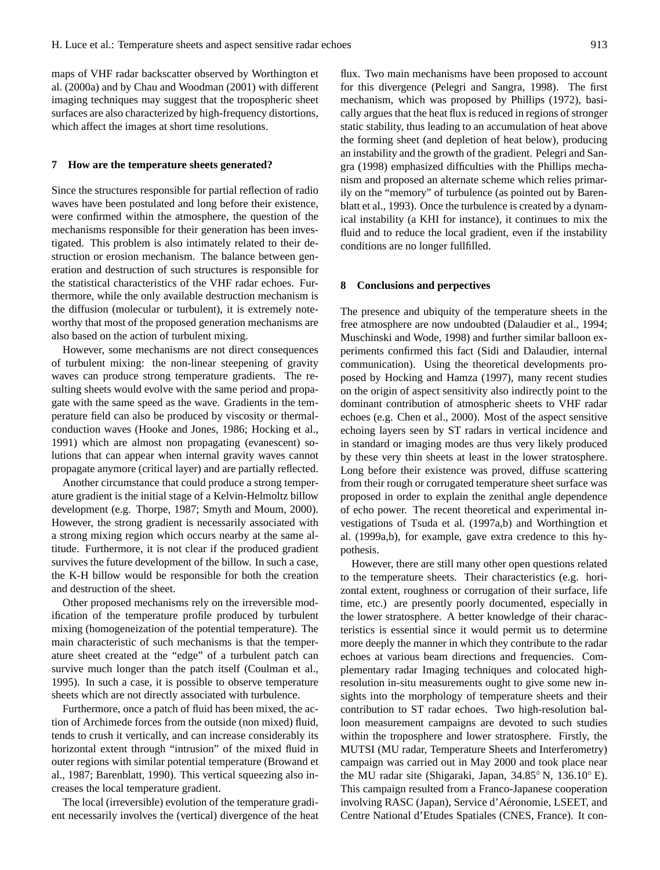maps of VHF radar backscatter observed by Worthington et al. (2000a) and by Chau and Woodman (2001) with different imaging techniques may suggest that the tropospheric sheet surfaces are also characterized by high-frequency distortions, which affect the images at short time resolutions.

### **7 How are the temperature sheets generated?**

Since the structures responsible for partial reflection of radio waves have been postulated and long before their existence, were confirmed within the atmosphere, the question of the mechanisms responsible for their generation has been investigated. This problem is also intimately related to their destruction or erosion mechanism. The balance between generation and destruction of such structures is responsible for the statistical characteristics of the VHF radar echoes. Furthermore, while the only available destruction mechanism is the diffusion (molecular or turbulent), it is extremely noteworthy that most of the proposed generation mechanisms are also based on the action of turbulent mixing.

However, some mechanisms are not direct consequences of turbulent mixing: the non-linear steepening of gravity waves can produce strong temperature gradients. The resulting sheets would evolve with the same period and propagate with the same speed as the wave. Gradients in the temperature field can also be produced by viscosity or thermalconduction waves (Hooke and Jones, 1986; Hocking et al., 1991) which are almost non propagating (evanescent) solutions that can appear when internal gravity waves cannot propagate anymore (critical layer) and are partially reflected.

Another circumstance that could produce a strong temperature gradient is the initial stage of a Kelvin-Helmoltz billow development (e.g. Thorpe, 1987; Smyth and Moum, 2000). However, the strong gradient is necessarily associated with a strong mixing region which occurs nearby at the same altitude. Furthermore, it is not clear if the produced gradient survives the future development of the billow. In such a case, the K-H billow would be responsible for both the creation and destruction of the sheet.

Other proposed mechanisms rely on the irreversible modification of the temperature profile produced by turbulent mixing (homogeneization of the potential temperature). The main characteristic of such mechanisms is that the temperature sheet created at the "edge" of a turbulent patch can survive much longer than the patch itself (Coulman et al., 1995). In such a case, it is possible to observe temperature sheets which are not directly associated with turbulence.

Furthermore, once a patch of fluid has been mixed, the action of Archimede forces from the outside (non mixed) fluid, tends to crush it vertically, and can increase considerably its horizontal extent through "intrusion" of the mixed fluid in outer regions with similar potential temperature (Browand et al., 1987; Barenblatt, 1990). This vertical squeezing also increases the local temperature gradient.

The local (irreversible) evolution of the temperature gradient necessarily involves the (vertical) divergence of the heat

flux. Two main mechanisms have been proposed to account for this divergence (Pelegri and Sangra, 1998). The first mechanism, which was proposed by Phillips (1972), basically argues that the heat flux is reduced in regions of stronger static stability, thus leading to an accumulation of heat above the forming sheet (and depletion of heat below), producing an instability and the growth of the gradient. Pelegri and Sangra (1998) emphasized difficulties with the Phillips mechanism and proposed an alternate scheme which relies primarily on the "memory" of turbulence (as pointed out by Barenblatt et al., 1993). Once the turbulence is created by a dynamical instability (a KHI for instance), it continues to mix the fluid and to reduce the local gradient, even if the instability conditions are no longer fullfilled.

#### **8 Conclusions and perpectives**

The presence and ubiquity of the temperature sheets in the free atmosphere are now undoubted (Dalaudier et al., 1994; Muschinski and Wode, 1998) and further similar balloon experiments confirmed this fact (Sidi and Dalaudier, internal communication). Using the theoretical developments proposed by Hocking and Hamza (1997), many recent studies on the origin of aspect sensitivity also indirectly point to the dominant contribution of atmospheric sheets to VHF radar echoes (e.g. Chen et al., 2000). Most of the aspect sensitive echoing layers seen by ST radars in vertical incidence and in standard or imaging modes are thus very likely produced by these very thin sheets at least in the lower stratosphere. Long before their existence was proved, diffuse scattering from their rough or corrugated temperature sheet surface was proposed in order to explain the zenithal angle dependence of echo power. The recent theoretical and experimental investigations of Tsuda et al. (1997a,b) and Worthingtion et al. (1999a,b), for example, gave extra credence to this hypothesis.

However, there are still many other open questions related to the temperature sheets. Their characteristics (e.g. horizontal extent, roughness or corrugation of their surface, life time, etc.) are presently poorly documented, especially in the lower stratosphere. A better knowledge of their characteristics is essential since it would permit us to determine more deeply the manner in which they contribute to the radar echoes at various beam directions and frequencies. Complementary radar Imaging techniques and colocated highresolution in-situ measurements ought to give some new insights into the morphology of temperature sheets and their contribution to ST radar echoes. Two high-resolution balloon measurement campaigns are devoted to such studies within the troposphere and lower stratosphere. Firstly, the MUTSI (MU radar, Temperature Sheets and Interferometry) campaign was carried out in May 2000 and took place near the MU radar site (Shigaraki, Japan, 34.85◦ N, 136.10◦ E). This campaign resulted from a Franco-Japanese cooperation involving RASC (Japan), Service d'Aéronomie, LSEET, and Centre National d'Etudes Spatiales (CNES, France). It con-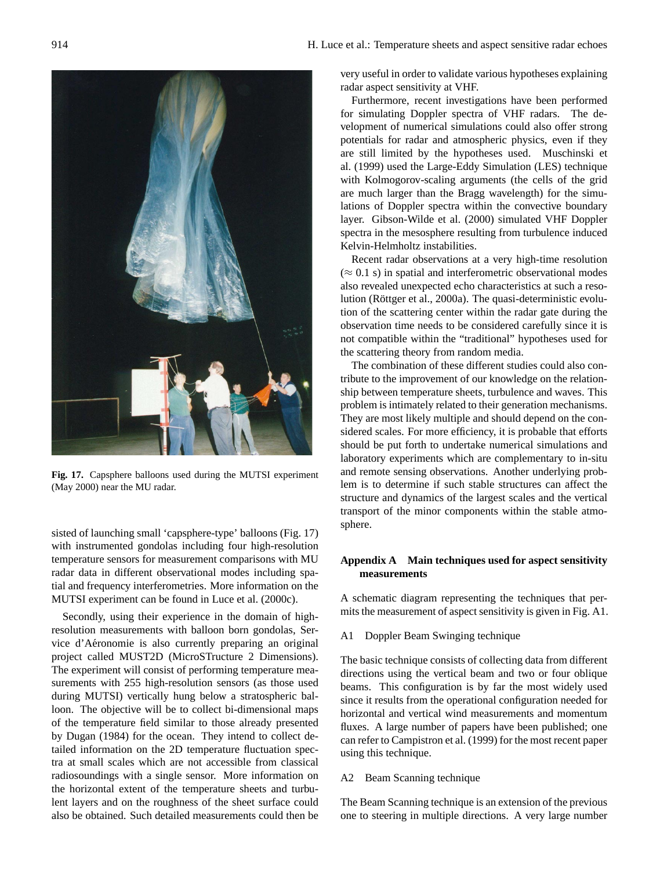

**Fig. 17.** Capsphere balloons used during the MUTSI experiment (May 2000) near the MU radar.

sisted of launching small 'capsphere-type' balloons (Fig. 17) with instrumented gondolas including four high-resolution temperature sensors for measurement comparisons with MU radar data in different observational modes including spatial and frequency interferometries. More information on the MUTSI experiment can be found in Luce et al. (2000c).

Secondly, using their experience in the domain of highresolution measurements with balloon born gondolas, Service d'Aéronomie is also currently preparing an original project called MUST2D (MicroSTructure 2 Dimensions). The experiment will consist of performing temperature measurements with 255 high-resolution sensors (as those used during MUTSI) vertically hung below a stratospheric balloon. The objective will be to collect bi-dimensional maps of the temperature field similar to those already presented by Dugan (1984) for the ocean. They intend to collect detailed information on the 2D temperature fluctuation spectra at small scales which are not accessible from classical radiosoundings with a single sensor. More information on the horizontal extent of the temperature sheets and turbulent layers and on the roughness of the sheet surface could also be obtained. Such detailed measurements could then be

very useful in order to validate various hypotheses explaining radar aspect sensitivity at VHF.

Furthermore, recent investigations have been performed for simulating Doppler spectra of VHF radars. The development of numerical simulations could also offer strong potentials for radar and atmospheric physics, even if they are still limited by the hypotheses used. Muschinski et al. (1999) used the Large-Eddy Simulation (LES) technique with Kolmogorov-scaling arguments (the cells of the grid are much larger than the Bragg wavelength) for the simulations of Doppler spectra within the convective boundary layer. Gibson-Wilde et al. (2000) simulated VHF Doppler spectra in the mesosphere resulting from turbulence induced Kelvin-Helmholtz instabilities.

Recent radar observations at a very high-time resolution  $(\approx 0.1 \text{ s})$  in spatial and interferometric observational modes also revealed unexpected echo characteristics at such a resolution (Röttger et al., 2000a). The quasi-deterministic evolution of the scattering center within the radar gate during the observation time needs to be considered carefully since it is not compatible within the "traditional" hypotheses used for the scattering theory from random media.

The combination of these different studies could also contribute to the improvement of our knowledge on the relationship between temperature sheets, turbulence and waves. This problem is intimately related to their generation mechanisms. They are most likely multiple and should depend on the considered scales. For more efficiency, it is probable that efforts should be put forth to undertake numerical simulations and laboratory experiments which are complementary to in-situ and remote sensing observations. Another underlying problem is to determine if such stable structures can affect the structure and dynamics of the largest scales and the vertical transport of the minor components within the stable atmosphere.

# **Appendix A Main techniques used for aspect sensitivity measurements**

A schematic diagram representing the techniques that permits the measurement of aspect sensitivity is given in Fig. A1.

# A1 Doppler Beam Swinging technique

The basic technique consists of collecting data from different directions using the vertical beam and two or four oblique beams. This configuration is by far the most widely used since it results from the operational configuration needed for horizontal and vertical wind measurements and momentum fluxes. A large number of papers have been published; one can refer to Campistron et al. (1999) for the most recent paper using this technique.

# A2 Beam Scanning technique

The Beam Scanning technique is an extension of the previous one to steering in multiple directions. A very large number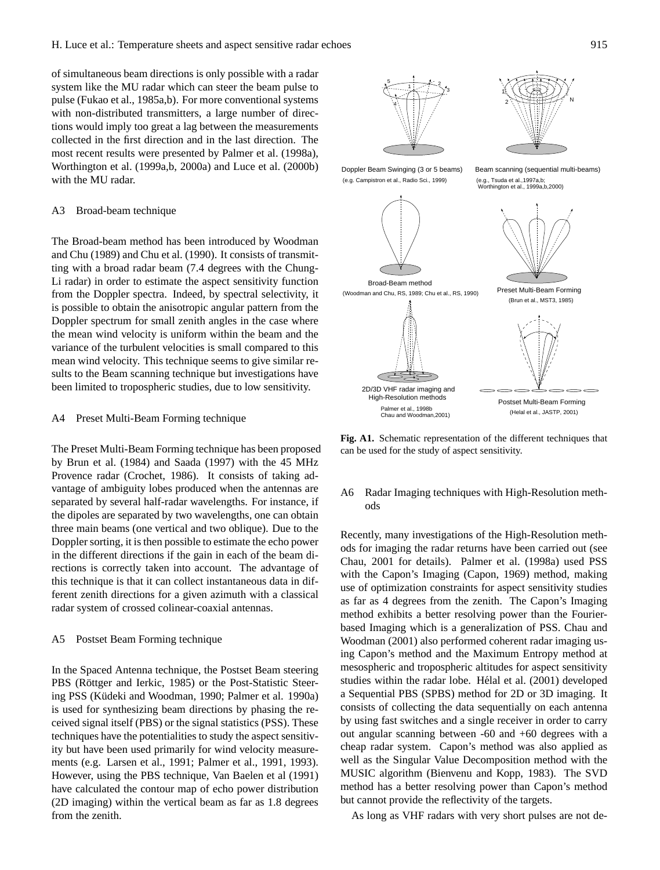of simultaneous beam directions is only possible with a radar system like the MU radar which can steer the beam pulse to pulse (Fukao et al., 1985a,b). For more conventional systems with non-distributed transmitters, a large number of directions would imply too great a lag between the measurements collected in the first direction and in the last direction. The most recent results were presented by Palmer et al. (1998a), Worthington et al. (1999a,b, 2000a) and Luce et al. (2000b) with the MU radar.

#### A3 Broad-beam technique

The Broad-beam method has been introduced by Woodman and Chu (1989) and Chu et al. (1990). It consists of transmitting with a broad radar beam (7.4 degrees with the Chung-Li radar) in order to estimate the aspect sensitivity function from the Doppler spectra. Indeed, by spectral selectivity, it is possible to obtain the anisotropic angular pattern from the Doppler spectrum for small zenith angles in the case where the mean wind velocity is uniform within the beam and the variance of the turbulent velocities is small compared to this mean wind velocity. This technique seems to give similar results to the Beam scanning technique but investigations have been limited to tropospheric studies, due to low sensitivity.

#### A4 Preset Multi-Beam Forming technique

The Preset Multi-Beam Forming technique has been proposed by Brun et al. (1984) and Saada (1997) with the 45 MHz Provence radar (Crochet, 1986). It consists of taking advantage of ambiguity lobes produced when the antennas are separated by several half-radar wavelengths. For instance, if the dipoles are separated by two wavelengths, one can obtain three main beams (one vertical and two oblique). Due to the Doppler sorting, it is then possible to estimate the echo power in the different directions if the gain in each of the beam directions is correctly taken into account. The advantage of this technique is that it can collect instantaneous data in different zenith directions for a given azimuth with a classical radar system of crossed colinear-coaxial antennas.

### A5 Postset Beam Forming technique

In the Spaced Antenna technique, the Postset Beam steering PBS (Röttger and Ierkic, 1985) or the Post-Statistic Steering PSS (Küdeki and Woodman, 1990; Palmer et al. 1990a) is used for synthesizing beam directions by phasing the received signal itself (PBS) or the signal statistics (PSS). These techniques have the potentialities to study the aspect sensitivity but have been used primarily for wind velocity measurements (e.g. Larsen et al., 1991; Palmer et al., 1991, 1993). However, using the PBS technique, Van Baelen et al (1991) have calculated the contour map of echo power distribution (2D imaging) within the vertical beam as far as 1.8 degrees from the zenith.







**Fig. A1.** Schematic representation of the different techniques that can be used for the study of aspect sensitivity.

# A6 Radar Imaging techniques with High-Resolution methods

Recently, many investigations of the High-Resolution methods for imaging the radar returns have been carried out (see Chau, 2001 for details). Palmer et al. (1998a) used PSS with the Capon's Imaging (Capon, 1969) method, making use of optimization constraints for aspect sensitivity studies as far as 4 degrees from the zenith. The Capon's Imaging method exhibits a better resolving power than the Fourierbased Imaging which is a generalization of PSS. Chau and Woodman (2001) also performed coherent radar imaging using Capon's method and the Maximum Entropy method at mesospheric and tropospheric altitudes for aspect sensitivity studies within the radar lobe. Hélal et al. (2001) developed a Sequential PBS (SPBS) method for 2D or 3D imaging. It consists of collecting the data sequentially on each antenna by using fast switches and a single receiver in order to carry out angular scanning between -60 and +60 degrees with a cheap radar system. Capon's method was also applied as well as the Singular Value Decomposition method with the MUSIC algorithm (Bienvenu and Kopp, 1983). The SVD method has a better resolving power than Capon's method but cannot provide the reflectivity of the targets.

As long as VHF radars with very short pulses are not de-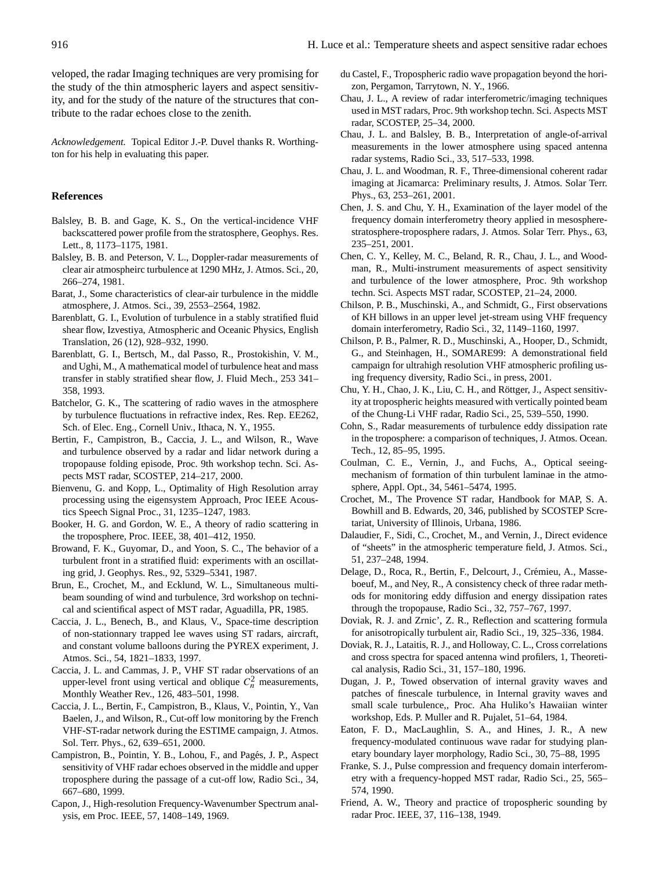veloped, the radar Imaging techniques are very promising for the study of the thin atmospheric layers and aspect sensitivity, and for the study of the nature of the structures that contribute to the radar echoes close to the zenith.

*Acknowledgement.* Topical Editor J.-P. Duvel thanks R. Worthington for his help in evaluating this paper.

#### **References**

- Balsley, B. B. and Gage, K. S., On the vertical-incidence VHF backscattered power profile from the stratosphere, Geophys. Res. Lett., 8, 1173–1175, 1981.
- Balsley, B. B. and Peterson, V. L., Doppler-radar measurements of clear air atmospheirc turbulence at 1290 MHz, J. Atmos. Sci., 20, 266–274, 1981.
- Barat, J., Some characteristics of clear-air turbulence in the middle atmosphere, J. Atmos. Sci., 39, 2553–2564, 1982.
- Barenblatt, G. I., Evolution of turbulence in a stably stratified fluid shear flow, Izvestiya, Atmospheric and Oceanic Physics, English Translation, 26 (12), 928–932, 1990.
- Barenblatt, G. I., Bertsch, M., dal Passo, R., Prostokishin, V. M., and Ughi, M., A mathematical model of turbulence heat and mass transfer in stably stratified shear flow, J. Fluid Mech., 253 341– 358, 1993.
- Batchelor, G. K., The scattering of radio waves in the atmosphere by turbulence fluctuations in refractive index, Res. Rep. EE262, Sch. of Elec. Eng., Cornell Univ., Ithaca, N. Y., 1955.
- Bertin, F., Campistron, B., Caccia, J. L., and Wilson, R., Wave and turbulence observed by a radar and lidar network during a tropopause folding episode, Proc. 9th workshop techn. Sci. Aspects MST radar, SCOSTEP, 214–217, 2000.
- Bienvenu, G. and Kopp, L., Optimality of High Resolution array processing using the eigensystem Approach, Proc IEEE Acoustics Speech Signal Proc., 31, 1235–1247, 1983.
- Booker, H. G. and Gordon, W. E., A theory of radio scattering in the troposphere, Proc. IEEE, 38, 401–412, 1950.
- Browand, F. K., Guyomar, D., and Yoon, S. C., The behavior of a turbulent front in a stratified fluid: experiments with an oscillating grid, J. Geophys. Res., 92, 5329–5341, 1987.
- Brun, E., Crochet, M., and Ecklund, W. L., Simultaneous multibeam sounding of wind and turbulence, 3rd workshop on technical and scientifical aspect of MST radar, Aguadilla, PR, 1985.
- Caccia, J. L., Benech, B., and Klaus, V., Space-time description of non-stationnary trapped lee waves using ST radars, aircraft, and constant volume balloons during the PYREX experiment, J. Atmos. Sci., 54, 1821–1833, 1997.
- Caccia, J. L. and Cammas, J. P., VHF ST radar observations of an upper-level front using vertical and oblique  $C_n^2$  measurements, Monthly Weather Rev., 126, 483–501, 1998.
- Caccia, J. L., Bertin, F., Campistron, B., Klaus, V., Pointin, Y., Van Baelen, J., and Wilson, R., Cut-off low monitoring by the French VHF-ST-radar network during the ESTIME campaign, J. Atmos. Sol. Terr. Phys., 62, 639–651, 2000.
- Campistron, B., Pointin, Y. B., Lohou, F., and Pages, J. P., Aspect ´ sensitivity of VHF radar echoes observed in the middle and upper troposphere during the passage of a cut-off low, Radio Sci., 34, 667–680, 1999.
- Capon, J., High-resolution Frequency-Wavenumber Spectrum analysis, em Proc. IEEE, 57, 1408–149, 1969.
- du Castel, F., Tropospheric radio wave propagation beyond the horizon, Pergamon, Tarrytown, N. Y., 1966.
- Chau, J. L., A review of radar interferometric/imaging techniques used in MST radars, Proc. 9th workshop techn. Sci. Aspects MST radar, SCOSTEP, 25–34, 2000.
- Chau, J. L. and Balsley, B. B., Interpretation of angle-of-arrival measurements in the lower atmosphere using spaced antenna radar systems, Radio Sci., 33, 517–533, 1998.
- Chau, J. L. and Woodman, R. F., Three-dimensional coherent radar imaging at Jicamarca: Preliminary results, J. Atmos. Solar Terr. Phys., 63, 253–261, 2001.
- Chen, J. S. and Chu, Y. H., Examination of the layer model of the frequency domain interferometry theory applied in mesospherestratosphere-troposphere radars, J. Atmos. Solar Terr. Phys., 63, 235–251, 2001.
- Chen, C. Y., Kelley, M. C., Beland, R. R., Chau, J. L., and Woodman, R., Multi-instrument measurements of aspect sensitivity and turbulence of the lower atmosphere, Proc. 9th workshop techn. Sci. Aspects MST radar, SCOSTEP, 21–24, 2000.
- Chilson, P. B., Muschinski, A., and Schmidt, G., First observations of KH billows in an upper level jet-stream using VHF frequency domain interferometry, Radio Sci., 32, 1149–1160, 1997.
- Chilson, P. B., Palmer, R. D., Muschinski, A., Hooper, D., Schmidt, G., and Steinhagen, H., SOMARE99: A demonstrational field campaign for ultrahigh resolution VHF atmospheric profiling using frequency diversity, Radio Sci., in press, 2001.
- Chu, Y. H., Chao, J. K., Liu, C. H., and Röttger, J., Aspect sensitivity at tropospheric heights measured with vertically pointed beam of the Chung-Li VHF radar, Radio Sci., 25, 539–550, 1990.
- Cohn, S., Radar measurements of turbulence eddy dissipation rate in the troposphere: a comparison of techniques, J. Atmos. Ocean. Tech., 12, 85–95, 1995.
- Coulman, C. E., Vernin, J., and Fuchs, A., Optical seeingmechanism of formation of thin turbulent laminae in the atmosphere, Appl. Opt., 34, 5461–5474, 1995.
- Crochet, M., The Provence ST radar, Handbook for MAP, S. A. Bowhill and B. Edwards, 20, 346, published by SCOSTEP Scretariat, University of Illinois, Urbana, 1986.
- Dalaudier, F., Sidi, C., Crochet, M., and Vernin, J., Direct evidence of "sheets" in the atmospheric temperature field, J. Atmos. Sci., 51, 237–248, 1994.
- Delage, D., Roca, R., Bertin, F., Delcourt, J., Crémieu, A., Masseboeuf, M., and Ney, R., A consistency check of three radar methods for monitoring eddy diffusion and energy dissipation rates through the tropopause, Radio Sci., 32, 757–767, 1997.
- Doviak, R. J. and Zrnic', Z. R., Reflection and scattering formula for anisotropically turbulent air, Radio Sci., 19, 325–336, 1984.
- Doviak, R. J., Lataitis, R. J., and Holloway, C. L., Cross correlations and cross spectra for spaced antenna wind profilers, 1, Theoretical analysis, Radio Sci., 31, 157–180, 1996.
- Dugan, J. P., Towed observation of internal gravity waves and patches of finescale turbulence, in Internal gravity waves and small scale turbulence,, Proc. Aha Huliko's Hawaiian winter workshop, Eds. P. Muller and R. Pujalet, 51–64, 1984.
- Eaton, F. D., MacLaughlin, S. A., and Hines, J. R., A new frequency-modulated continuous wave radar for studying planetary boundary layer morphology, Radio Sci., 30, 75–88, 1995
- Franke, S. J., Pulse compression and frequency domain interferometry with a frequency-hopped MST radar, Radio Sci., 25, 565– 574, 1990.
- Friend, A. W., Theory and practice of tropospheric sounding by radar Proc. IEEE, 37, 116–138, 1949.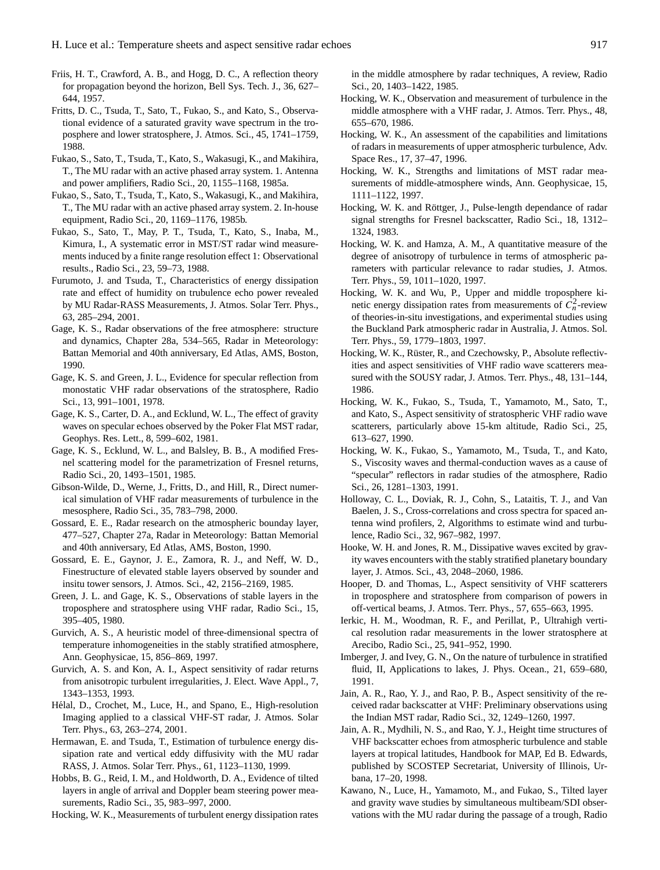- Friis, H. T., Crawford, A. B., and Hogg, D. C., A reflection theory for propagation beyond the horizon, Bell Sys. Tech. J., 36, 627– 644, 1957.
- Fritts, D. C., Tsuda, T., Sato, T., Fukao, S., and Kato, S., Observational evidence of a saturated gravity wave spectrum in the troposphere and lower stratosphere, J. Atmos. Sci., 45, 1741–1759, 1988.
- Fukao, S., Sato, T., Tsuda, T., Kato, S., Wakasugi, K., and Makihira, T., The MU radar with an active phased array system. 1. Antenna and power amplifiers, Radio Sci., 20, 1155–1168, 1985a.
- Fukao, S., Sato, T., Tsuda, T., Kato, S., Wakasugi, K., and Makihira, T., The MU radar with an active phased array system. 2. In-house equipment, Radio Sci., 20, 1169–1176, 1985b.
- Fukao, S., Sato, T., May, P. T., Tsuda, T., Kato, S., Inaba, M., Kimura, I., A systematic error in MST/ST radar wind measurements induced by a finite range resolution effect 1: Observational results., Radio Sci., 23, 59–73, 1988.
- Furumoto, J. and Tsuda, T., Characteristics of energy dissipation rate and effect of humidity on trubulence echo power revealed by MU Radar-RASS Measurements, J. Atmos. Solar Terr. Phys., 63, 285–294, 2001.
- Gage, K. S., Radar observations of the free atmosphere: structure and dynamics, Chapter 28a, 534–565, Radar in Meteorology: Battan Memorial and 40th anniversary, Ed Atlas, AMS, Boston, 1990.
- Gage, K. S. and Green, J. L., Evidence for specular reflection from monostatic VHF radar observations of the stratosphere, Radio Sci., 13, 991–1001, 1978.
- Gage, K. S., Carter, D. A., and Ecklund, W. L., The effect of gravity waves on specular echoes observed by the Poker Flat MST radar, Geophys. Res. Lett., 8, 599–602, 1981.
- Gage, K. S., Ecklund, W. L., and Balsley, B. B., A modified Fresnel scattering model for the parametrization of Fresnel returns, Radio Sci., 20, 1493–1501, 1985.
- Gibson-Wilde, D., Werne, J., Fritts, D., and Hill, R., Direct numerical simulation of VHF radar measurements of turbulence in the mesosphere, Radio Sci., 35, 783–798, 2000.
- Gossard, E. E., Radar research on the atmospheric bounday layer, 477–527, Chapter 27a, Radar in Meteorology: Battan Memorial and 40th anniversary, Ed Atlas, AMS, Boston, 1990.
- Gossard, E. E., Gaynor, J. E., Zamora, R. J., and Neff, W. D., Finestructure of elevated stable layers observed by sounder and insitu tower sensors, J. Atmos. Sci., 42, 2156–2169, 1985.
- Green, J. L. and Gage, K. S., Observations of stable layers in the troposphere and stratosphere using VHF radar, Radio Sci., 15, 395–405, 1980.
- Gurvich, A. S., A heuristic model of three-dimensional spectra of temperature inhomogeneities in the stably stratified atmosphere, Ann. Geophysicae, 15, 856–869, 1997.
- Gurvich, A. S. and Kon, A. I., Aspect sensitivity of radar returns from anisotropic turbulent irregularities, J. Elect. Wave Appl., 7, 1343–1353, 1993.
- Helal, D., Crochet, M., Luce, H., and Spano, E., High-resolution ´ Imaging applied to a classical VHF-ST radar, J. Atmos. Solar Terr. Phys., 63, 263–274, 2001.
- Hermawan, E. and Tsuda, T., Estimation of turbulence energy dissipation rate and vertical eddy diffusivity with the MU radar RASS, J. Atmos. Solar Terr. Phys., 61, 1123–1130, 1999.
- Hobbs, B. G., Reid, I. M., and Holdworth, D. A., Evidence of tilted layers in angle of arrival and Doppler beam steering power measurements, Radio Sci., 35, 983–997, 2000.

Hocking, W. K., Measurements of turbulent energy dissipation rates

in the middle atmosphere by radar techniques, A review, Radio Sci., 20, 1403–1422, 1985.

- Hocking, W. K., Observation and measurement of turbulence in the middle atmosphere with a VHF radar, J. Atmos. Terr. Phys., 48, 655–670, 1986.
- Hocking, W. K., An assessment of the capabilities and limitations of radars in measurements of upper atmospheric turbulence, Adv. Space Res., 17, 37–47, 1996.
- Hocking, W. K., Strengths and limitations of MST radar measurements of middle-atmosphere winds, Ann. Geophysicae, 15, 1111–1122, 1997.
- Hocking, W. K. and Röttger, J., Pulse-length dependance of radar signal strengths for Fresnel backscatter, Radio Sci., 18, 1312– 1324, 1983.
- Hocking, W. K. and Hamza, A. M., A quantitative measure of the degree of anisotropy of turbulence in terms of atmospheric parameters with particular relevance to radar studies, J. Atmos. Terr. Phys., 59, 1011–1020, 1997.
- Hocking, W. K. and Wu, P., Upper and middle troposphere kinetic energy dissipation rates from measurements of  $C_n^2$ -review of theories-in-situ investigations, and experimental studies using the Buckland Park atmospheric radar in Australia, J. Atmos. Sol. Terr. Phys., 59, 1779–1803, 1997.
- Hocking, W. K., Rüster, R., and Czechowsky, P., Absolute reflectivities and aspect sensitivities of VHF radio wave scatterers measured with the SOUSY radar, J. Atmos. Terr. Phys., 48, 131–144, 1986.
- Hocking, W. K., Fukao, S., Tsuda, T., Yamamoto, M., Sato, T., and Kato, S., Aspect sensitivity of stratospheric VHF radio wave scatterers, particularly above 15-km altitude, Radio Sci., 25, 613–627, 1990.
- Hocking, W. K., Fukao, S., Yamamoto, M., Tsuda, T., and Kato, S., Viscosity waves and thermal-conduction waves as a cause of "specular" reflectors in radar studies of the atmosphere, Radio Sci., 26, 1281–1303, 1991.
- Holloway, C. L., Doviak, R. J., Cohn, S., Lataitis, T. J., and Van Baelen, J. S., Cross-correlations and cross spectra for spaced antenna wind profilers, 2, Algorithms to estimate wind and turbulence, Radio Sci., 32, 967–982, 1997.
- Hooke, W. H. and Jones, R. M., Dissipative waves excited by gravity waves encounters with the stably stratified planetary boundary layer, J. Atmos. Sci., 43, 2048–2060, 1986.
- Hooper, D. and Thomas, L., Aspect sensitivity of VHF scatterers in troposphere and stratosphere from comparison of powers in off-vertical beams, J. Atmos. Terr. Phys., 57, 655–663, 1995.
- Ierkic, H. M., Woodman, R. F., and Perillat, P., Ultrahigh vertical resolution radar measurements in the lower stratosphere at Arecibo, Radio Sci., 25, 941–952, 1990.
- Imberger, J. and Ivey, G. N., On the nature of turbulence in stratified fluid, II, Applications to lakes, J. Phys. Ocean., 21, 659-680, 1991.
- Jain, A. R., Rao, Y. J., and Rao, P. B., Aspect sensitivity of the received radar backscatter at VHF: Preliminary observations using the Indian MST radar, Radio Sci., 32, 1249–1260, 1997.
- Jain, A. R., Mydhili, N. S., and Rao, Y. J., Height time structures of VHF backscatter echoes from atmospheric turbulence and stable layers at tropical latitudes, Handbook for MAP, Ed B. Edwards, published by SCOSTEP Secretariat, University of Illinois, Urbana, 17–20, 1998.
- Kawano, N., Luce, H., Yamamoto, M., and Fukao, S., Tilted layer and gravity wave studies by simultaneous multibeam/SDI observations with the MU radar during the passage of a trough, Radio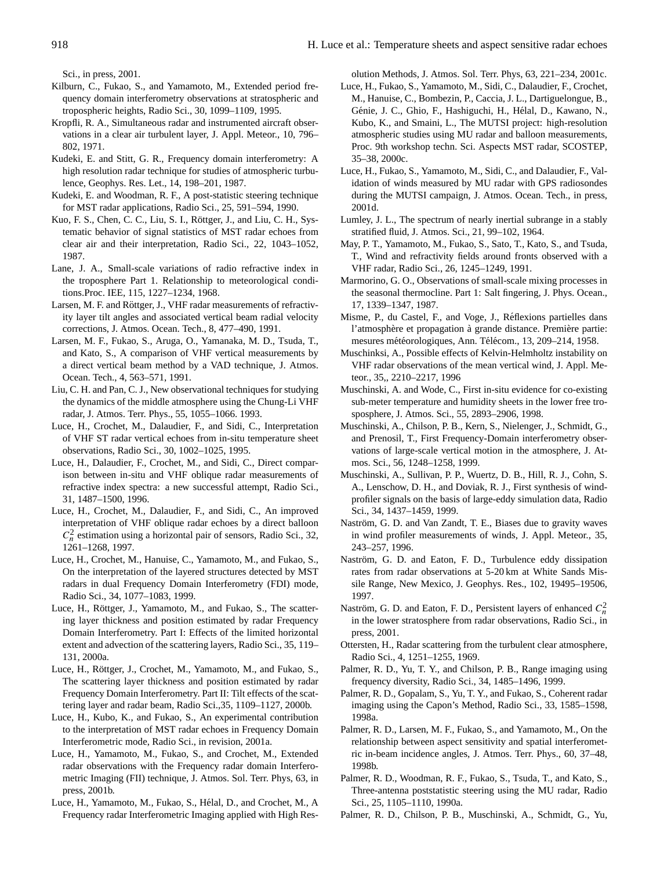Sci., in press, 2001.

- Kilburn, C., Fukao, S., and Yamamoto, M., Extended period frequency domain interferometry observations at stratospheric and tropospheric heights, Radio Sci., 30, 1099–1109, 1995.
- Kropfli, R. A., Simultaneous radar and instrumented aircraft observations in a clear air turbulent layer, J. Appl. Meteor., 10, 796– 802, 1971.
- Kudeki, E. and Stitt, G. R., Frequency domain interferometry: A high resolution radar technique for studies of atmospheric turbulence, Geophys. Res. Let., 14, 198–201, 1987.
- Kudeki, E. and Woodman, R. F., A post-statistic steering technique for MST radar applications, Radio Sci., 25, 591–594, 1990.
- Kuo, F. S., Chen, C. C., Liu, S. I., Röttger, J., and Liu, C. H., Systematic behavior of signal statistics of MST radar echoes from clear air and their interpretation, Radio Sci., 22, 1043–1052, 1987.
- Lane, J. A., Small-scale variations of radio refractive index in the troposphere Part 1. Relationship to meteorological conditions.Proc. IEE, 115, 1227–1234, 1968.
- Larsen, M. F. and Röttger, J., VHF radar measurements of refractivity layer tilt angles and associated vertical beam radial velocity corrections, J. Atmos. Ocean. Tech., 8, 477–490, 1991.
- Larsen, M. F., Fukao, S., Aruga, O., Yamanaka, M. D., Tsuda, T., and Kato, S., A comparison of VHF vertical measurements by a direct vertical beam method by a VAD technique, J. Atmos. Ocean. Tech., 4, 563–571, 1991.
- Liu, C. H. and Pan, C. J., New observational techniques for studying the dynamics of the middle atmosphere using the Chung-Li VHF radar, J. Atmos. Terr. Phys., 55, 1055–1066. 1993.
- Luce, H., Crochet, M., Dalaudier, F., and Sidi, C., Interpretation of VHF ST radar vertical echoes from in-situ temperature sheet observations, Radio Sci., 30, 1002–1025, 1995.
- Luce, H., Dalaudier, F., Crochet, M., and Sidi, C., Direct comparison between in-situ and VHF oblique radar measurements of refractive index spectra: a new successful attempt, Radio Sci., 31, 1487–1500, 1996.
- Luce, H., Crochet, M., Dalaudier, F., and Sidi, C., An improved interpretation of VHF oblique radar echoes by a direct balloon  $C_n^2$  estimation using a horizontal pair of sensors, Radio Sci., 32, 1261–1268, 1997.
- Luce, H., Crochet, M., Hanuise, C., Yamamoto, M., and Fukao, S., On the interpretation of the layered structures detected by MST radars in dual Frequency Domain Interferometry (FDI) mode, Radio Sci., 34, 1077–1083, 1999.
- Luce, H., Röttger, J., Yamamoto, M., and Fukao, S., The scattering layer thickness and position estimated by radar Frequency Domain Interferometry. Part I: Effects of the limited horizontal extent and advection of the scattering layers, Radio Sci., 35, 119– 131, 2000a.
- Luce, H., Röttger, J., Crochet, M., Yamamoto, M., and Fukao, S., The scattering layer thickness and position estimated by radar Frequency Domain Interferometry. Part II: Tilt effects of the scattering layer and radar beam, Radio Sci.,35, 1109–1127, 2000b.
- Luce, H., Kubo, K., and Fukao, S., An experimental contribution to the interpretation of MST radar echoes in Frequency Domain Interferometric mode, Radio Sci., in revision, 2001a.
- Luce, H., Yamamoto, M., Fukao, S., and Crochet, M., Extended radar observations with the Frequency radar domain Interferometric Imaging (FII) technique, J. Atmos. Sol. Terr. Phys, 63, in press, 2001b.
- Luce, H., Yamamoto, M., Fukao, S., Hélal, D., and Crochet, M., A Frequency radar Interferometric Imaging applied with High Res-

olution Methods, J. Atmos. Sol. Terr. Phys, 63, 221–234, 2001c.

- Luce, H., Fukao, S., Yamamoto, M., Sidi, C., Dalaudier, F., Crochet, M., Hanuise, C., Bombezin, P., Caccia, J. L., Dartiguelongue, B., Génie, J. C., Ghio, F., Hashiguchi, H., Hélal, D., Kawano, N., Kubo, K., and Smaini, L., The MUTSI project: high-resolution atmospheric studies using MU radar and balloon measurements, Proc. 9th workshop techn. Sci. Aspects MST radar, SCOSTEP, 35–38, 2000c.
- Luce, H., Fukao, S., Yamamoto, M., Sidi, C., and Dalaudier, F., Validation of winds measured by MU radar with GPS radiosondes during the MUTSI campaign, J. Atmos. Ocean. Tech., in press, 2001d.
- Lumley, J. L., The spectrum of nearly inertial subrange in a stably stratified fluid, J. Atmos. Sci., 21, 99–102, 1964.
- May, P. T., Yamamoto, M., Fukao, S., Sato, T., Kato, S., and Tsuda, T., Wind and refractivity fields around fronts observed with a VHF radar, Radio Sci., 26, 1245–1249, 1991.
- Marmorino, G. O., Observations of small-scale mixing processes in the seasonal thermocline. Part 1: Salt fingering, J. Phys. Ocean., 17, 1339–1347, 1987.
- Misme, P., du Castel, F., and Voge, J., Reflexions partielles dans ´ l'atmosphère et propagation à grande distance. Première partie: mesures météorologiques, Ann. Télécom., 13, 209-214, 1958.
- Muschinksi, A., Possible effects of Kelvin-Helmholtz instability on VHF radar observations of the mean vertical wind, J. Appl. Meteor., 35,, 2210–2217, 1996
- Muschinski, A. and Wode, C., First in-situ evidence for co-existing sub-meter temperature and humidity sheets in the lower free trosposphere, J. Atmos. Sci., 55, 2893–2906, 1998.
- Muschinski, A., Chilson, P. B., Kern, S., Nielenger, J., Schmidt, G., and Prenosil, T., First Frequency-Domain interferometry observations of large-scale vertical motion in the atmosphere, J. Atmos. Sci., 56, 1248–1258, 1999.
- Muschinski, A., Sullivan, P. P., Wuertz, D. B., Hill, R. J., Cohn, S. A., Lenschow, D. H., and Doviak, R. J., First synthesis of windprofiler signals on the basis of large-eddy simulation data, Radio Sci., 34, 1437–1459, 1999.
- Naström, G. D. and Van Zandt, T. E., Biases due to gravity waves in wind profiler measurements of winds, J. Appl. Meteor., 35, 243–257, 1996.
- Naström, G. D. and Eaton, F. D., Turbulence eddy dissipation rates from radar observations at 5-20 km at White Sands Missile Range, New Mexico, J. Geophys. Res., 102, 19495–19506, 1997.
- Naström, G. D. and Eaton, F. D., Persistent layers of enhanced  $C_n^2$ in the lower stratosphere from radar observations, Radio Sci., in press, 2001.
- Ottersten, H., Radar scattering from the turbulent clear atmosphere, Radio Sci., 4, 1251–1255, 1969.
- Palmer, R. D., Yu, T. Y., and Chilson, P. B., Range imaging using frequency diversity, Radio Sci., 34, 1485–1496, 1999.
- Palmer, R. D., Gopalam, S., Yu, T. Y., and Fukao, S., Coherent radar imaging using the Capon's Method, Radio Sci., 33, 1585–1598, 1998a.
- Palmer, R. D., Larsen, M. F., Fukao, S., and Yamamoto, M., On the relationship between aspect sensitivity and spatial interferometric in-beam incidence angles, J. Atmos. Terr. Phys., 60, 37–48, 1998b.
- Palmer, R. D., Woodman, R. F., Fukao, S., Tsuda, T., and Kato, S., Three-antenna poststatistic steering using the MU radar, Radio Sci., 25, 1105–1110, 1990a.
- Palmer, R. D., Chilson, P. B., Muschinski, A., Schmidt, G., Yu,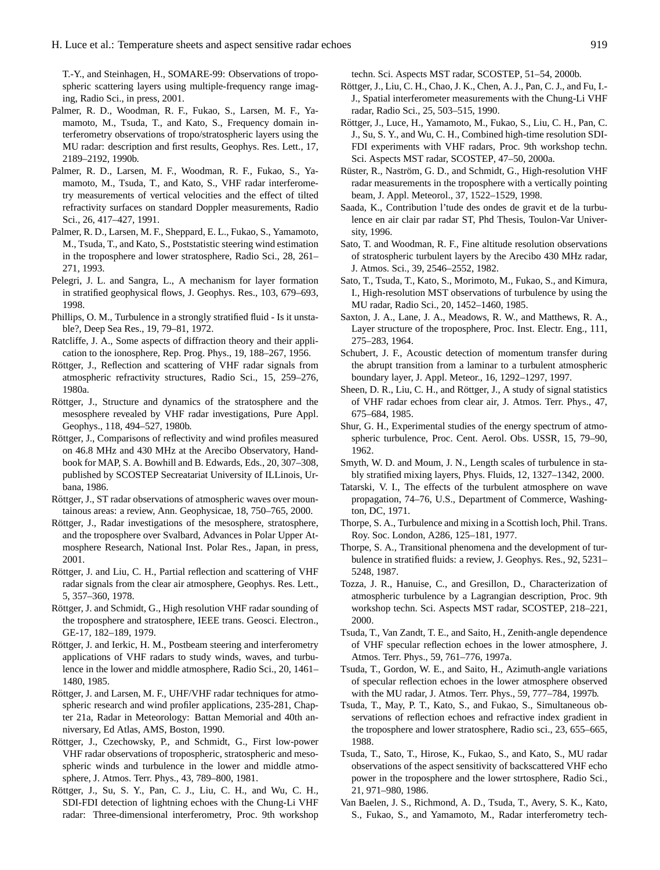T.-Y., and Steinhagen, H., SOMARE-99: Observations of tropospheric scattering layers using multiple-frequency range imaging, Radio Sci., in press, 2001.

- Palmer, R. D., Woodman, R. F., Fukao, S., Larsen, M. F., Yamamoto, M., Tsuda, T., and Kato, S., Frequency domain interferometry observations of tropo/stratospheric layers using the MU radar: description and first results, Geophys. Res. Lett., 17, 2189–2192, 1990b.
- Palmer, R. D., Larsen, M. F., Woodman, R. F., Fukao, S., Yamamoto, M., Tsuda, T., and Kato, S., VHF radar interferometry measurements of vertical velocities and the effect of tilted refractivity surfaces on standard Doppler measurements, Radio Sci., 26, 417–427, 1991.
- Palmer, R. D., Larsen, M. F., Sheppard, E. L., Fukao, S., Yamamoto, M., Tsuda, T., and Kato, S., Poststatistic steering wind estimation in the troposphere and lower stratosphere, Radio Sci., 28, 261– 271, 1993.
- Pelegri, J. L. and Sangra, L., A mechanism for layer formation in stratified geophysical flows, J. Geophys. Res., 103, 679–693, 1998.
- Phillips, O. M., Turbulence in a strongly stratified fluid Is it unstable?, Deep Sea Res., 19, 79–81, 1972.
- Ratcliffe, J. A., Some aspects of diffraction theory and their application to the ionosphere, Rep. Prog. Phys., 19, 188–267, 1956.
- Röttger, J., Reflection and scattering of VHF radar signals from atmospheric refractivity structures, Radio Sci., 15, 259–276, 1980a.
- Röttger, J., Structure and dynamics of the stratosphere and the mesosphere revealed by VHF radar investigations, Pure Appl. Geophys., 118, 494–527, 1980b.
- Röttger, J., Comparisons of reflectivity and wind profiles measured on 46.8 MHz and 430 MHz at the Arecibo Observatory, Handbook for MAP, S. A. Bowhill and B. Edwards, Eds., 20, 307–308, published by SCOSTEP Secreatariat University of ILLinois, Urbana, 1986.
- Röttger, J., ST radar observations of atmospheric waves over mountainous areas: a review, Ann. Geophysicae, 18, 750–765, 2000.
- Röttger, J., Radar investigations of the mesosphere, stratosphere, and the troposphere over Svalbard, Advances in Polar Upper Atmosphere Research, National Inst. Polar Res., Japan, in press, 2001.
- Röttger, J. and Liu, C. H., Partial reflection and scattering of VHF radar signals from the clear air atmosphere, Geophys. Res. Lett., 5, 357–360, 1978.
- Röttger, J. and Schmidt, G., High resolution VHF radar sounding of the troposphere and stratosphere, IEEE trans. Geosci. Electron., GE-17, 182–189, 1979.
- Röttger, J. and Ierkic, H. M., Postbeam steering and interferometry applications of VHF radars to study winds, waves, and turbulence in the lower and middle atmosphere, Radio Sci., 20, 1461– 1480, 1985.
- Röttger, J. and Larsen, M. F., UHF/VHF radar techniques for atmospheric research and wind profiler applications, 235-281, Chapter 21a, Radar in Meteorology: Battan Memorial and 40th anniversary, Ed Atlas, AMS, Boston, 1990.
- Röttger, J., Czechowsky, P., and Schmidt, G., First low-power VHF radar observations of tropospheric, stratospheric and mesospheric winds and turbulence in the lower and middle atmosphere, J. Atmos. Terr. Phys., 43, 789–800, 1981.
- Röttger, J., Su, S. Y., Pan, C. J., Liu, C. H., and Wu, C. H., SDI-FDI detection of lightning echoes with the Chung-Li VHF radar: Three-dimensional interferometry, Proc. 9th workshop

techn. Sci. Aspects MST radar, SCOSTEP, 51–54, 2000b.

- Röttger, J., Liu, C. H., Chao, J. K., Chen, A. J., Pan, C. J., and Fu, I.-J., Spatial interferometer measurements with the Chung-Li VHF radar, Radio Sci., 25, 503–515, 1990.
- Röttger, J., Luce, H., Yamamoto, M., Fukao, S., Liu, C. H., Pan, C. J., Su, S. Y., and Wu, C. H., Combined high-time resolution SDI-FDI experiments with VHF radars, Proc. 9th workshop techn. Sci. Aspects MST radar, SCOSTEP, 47–50, 2000a.
- Rüster, R., Naström, G. D., and Schmidt, G., High-resolution VHF radar measurements in the troposphere with a vertically pointing beam, J. Appl. Meteorol., 37, 1522–1529, 1998.
- Saada, K., Contribution l'tude des ondes de gravit et de la turbulence en air clair par radar ST, Phd Thesis, Toulon-Var University, 1996.
- Sato, T. and Woodman, R. F., Fine altitude resolution observations of stratospheric turbulent layers by the Arecibo 430 MHz radar, J. Atmos. Sci., 39, 2546–2552, 1982.
- Sato, T., Tsuda, T., Kato, S., Morimoto, M., Fukao, S., and Kimura, I., High-resolution MST observations of turbulence by using the MU radar, Radio Sci., 20, 1452–1460, 1985.
- Saxton, J. A., Lane, J. A., Meadows, R. W., and Matthews, R. A., Layer structure of the troposphere, Proc. Inst. Electr. Eng., 111, 275–283, 1964.
- Schubert, J. F., Acoustic detection of momentum transfer during the abrupt transition from a laminar to a turbulent atmospheric boundary layer, J. Appl. Meteor., 16, 1292–1297, 1997.
- Sheen, D. R., Liu, C. H., and Röttger, J., A study of signal statistics of VHF radar echoes from clear air, J. Atmos. Terr. Phys., 47, 675–684, 1985.
- Shur, G. H., Experimental studies of the energy spectrum of atmospheric turbulence, Proc. Cent. Aerol. Obs. USSR, 15, 79–90, 1962.
- Smyth, W. D. and Moum, J. N., Length scales of turbulence in stably stratified mixing layers, Phys. Fluids, 12, 1327–1342, 2000.
- Tatarski, V. I., The effects of the turbulent atmosphere on wave propagation, 74–76, U.S., Department of Commerce, Washington, DC, 1971.
- Thorpe, S. A., Turbulence and mixing in a Scottish loch, Phil. Trans. Roy. Soc. London, A286, 125–181, 1977.
- Thorpe, S. A., Transitional phenomena and the development of turbulence in stratified fluids: a review, J. Geophys. Res., 92, 5231– 5248, 1987.
- Tozza, J. R., Hanuise, C., and Gresillon, D., Characterization of atmospheric turbulence by a Lagrangian description, Proc. 9th workshop techn. Sci. Aspects MST radar, SCOSTEP, 218–221, 2000.
- Tsuda, T., Van Zandt, T. E., and Saito, H., Zenith-angle dependence of VHF specular reflection echoes in the lower atmosphere, J. Atmos. Terr. Phys., 59, 761–776, 1997a.
- Tsuda, T., Gordon, W. E., and Saito, H., Azimuth-angle variations of specular reflection echoes in the lower atmosphere observed with the MU radar, J. Atmos. Terr. Phys., 59, 777–784, 1997b.
- Tsuda, T., May, P. T., Kato, S., and Fukao, S., Simultaneous observations of reflection echoes and refractive index gradient in the troposphere and lower stratosphere, Radio sci., 23, 655–665, 1988.
- Tsuda, T., Sato, T., Hirose, K., Fukao, S., and Kato, S., MU radar observations of the aspect sensitivity of backscattered VHF echo power in the troposphere and the lower strtosphere, Radio Sci., 21, 971–980, 1986.
- Van Baelen, J. S., Richmond, A. D., Tsuda, T., Avery, S. K., Kato, S., Fukao, S., and Yamamoto, M., Radar interferometry tech-